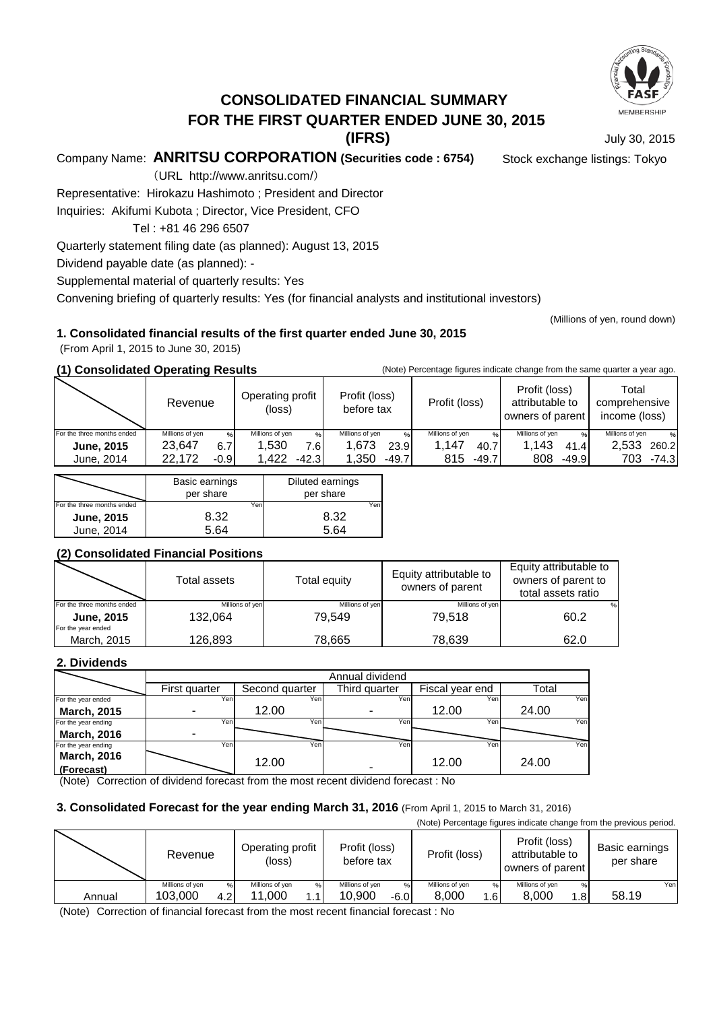

# **CONSOLIDATED FINANCIAL SUMMARY**

**FOR THE FIRST QUARTER ENDED JUNE 30, 2015**

**(IFRS)**

July 30, 2015

(Millions of yen, round down)

Company Name: **ANRITSU CORPORATION (Securities code : 6754)** Stock exchange listings: Tokyo

(URL http://www.anritsu.com/)

Representative: Hirokazu Hashimoto ; President and Director

Inquiries: Akifumi Kubota ; Director, Vice President, CFO

Tel : +81 46 296 6507

Quarterly statement filing date (as planned): August 13, 2015

Dividend payable date (as planned): -

Supplemental material of quarterly results: Yes

Convening briefing of quarterly results: Yes (for financial analysts and institutional investors)

## **1. Consolidated financial results of the first quarter ended June 30, 2015**

(From April 1, 2015 to June 30, 2015)

**(1) Consolidated Operating Results** (Note) Percentage figures indicate change from the same quarter a year ago.

|                            | oonoonaatoa oporatma resarts |                            |                             |                        |                                                      |                                         |  |
|----------------------------|------------------------------|----------------------------|-----------------------------|------------------------|------------------------------------------------------|-----------------------------------------|--|
|                            | Revenue                      | Operating profit<br>(loss) | Profit (loss)<br>before tax | Profit (loss)          | Profit (loss)<br>attributable to<br>owners of parent | Total<br>comprehensive<br>income (loss) |  |
| For the three months ended | Millions of yen              | Millions of yen<br>%       | Millions of ven<br>$\%$     | Millions of ven<br>0/6 | Millions of yen                                      | Millions of ven<br>$\%$                 |  |
| <b>June, 2015</b>          | 23.647<br>6.7                | 1.530<br>7.6I              | 1.673<br>23.9               | 1.147<br>40.7          | 1.143<br>41.4                                        | 2.533<br>260.2                          |  |
| June, 2014                 | 22.172<br>-0.91              | l.422<br>$-42.3$           | 1.350<br>$-49.7$            | 815<br>$-49.7$         | 808<br>$-49.9$                                       | 703<br>$-74.3$                          |  |
|                            |                              |                            |                             |                        |                                                      |                                         |  |

|                            | Basic earnings<br>per share | Diluted earnings<br>per share |
|----------------------------|-----------------------------|-------------------------------|
| For the three months ended | Yen                         | Yen                           |
| <b>June, 2015</b>          | 8.32                        | 8.32                          |
| June, 2014                 | . 64                        |                               |

## **(2) Consolidated Financial Positions**

|                                         | Total assets    | Total equity    | Equity attributable to<br>owners of parent | Equity attributable to<br>owners of parent to<br>total assets ratio |
|-----------------------------------------|-----------------|-----------------|--------------------------------------------|---------------------------------------------------------------------|
| For the three months ended              | Millions of yen | Millions of yen | Millions of yen                            | $\frac{9}{6}$                                                       |
| <b>June, 2015</b><br>For the year ended | 132.064         | 79.549          | 79.518                                     | 60.2                                                                |
| March, 2015                             | 126,893         | 78.665          | 78,639                                     | 62.0                                                                |

## **2. Dividends**

|                     | Annual dividend |                |               |                 |       |  |
|---------------------|-----------------|----------------|---------------|-----------------|-------|--|
|                     | First quarter   | Second quarter | Third quarter | Fiscal year end | Total |  |
| For the year ended  | Yeni            | Yen            | Yen           | Yen             | Yen   |  |
| <b>March, 2015</b>  |                 | 12.00          |               | 12.00           | 24.00 |  |
| For the year ending | Yen             | Yen.           | Yeni          | Yen             | Yen   |  |
| <b>March, 2016</b>  | -               |                |               |                 |       |  |
| For the year ending | Yen             | Yen            | Yen           | Yen             | Yen   |  |
| <b>March, 2016</b>  |                 | 12.00          |               | 12.00           | 24.00 |  |
| (Forecast)          |                 |                | -             |                 |       |  |

(Note) Correction of dividend forecast from the most recent dividend forecast : No

#### **3. Consolidated Forecast for the year ending March 31, 2016** (From April 1, 2015 to March 31, 2016)

(Note) Percentage figures indicate change from the previous period.

|        | Revenue         |      | Operating profit<br>(loss) |   | Profit (loss)<br>before tax |        | Profit (loss)   |      | Profit (loss)<br>attributable to<br>owners of parent |                 | Basic earnings<br>per share |     |
|--------|-----------------|------|----------------------------|---|-----------------------------|--------|-----------------|------|------------------------------------------------------|-----------------|-----------------------------|-----|
|        | Millions of yen |      | Millions of yen            | % | Millions of ven             | $\%$   | Millions of yen | %    | Millions of yen                                      | $\%$            |                             | Yen |
| Annual | 103.000         | 4.21 | .000<br>11                 |   | 10.900                      | $-6.0$ | 8.000           | 1.61 | 8.000                                                | .8 <sup>1</sup> | 58.19                       |     |

(Note) Correction of financial forecast from the most recent financial forecast : No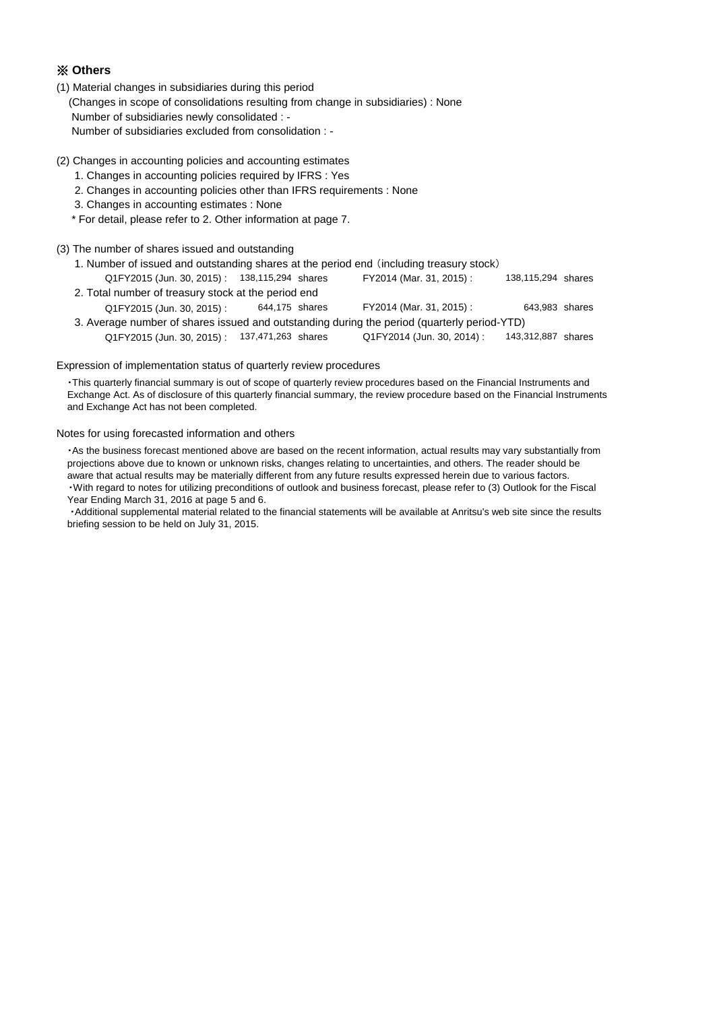#### ※ **Others**

- (1) Material changes in subsidiaries during this period (Changes in scope of consolidations resulting from change in subsidiaries) : None Number of subsidiaries newly consolidated : - Number of subsidiaries excluded from consolidation : -
- (2) Changes in accounting policies and accounting estimates
	- 1. Changes in accounting policies required by IFRS : Yes
	- 2. Changes in accounting policies other than IFRS requirements : None
	- 3. Changes in accounting estimates : None
	- \* For detail, please refer to 2. Other information at page 7.

#### (3) The number of shares issued and outstanding

 1. Number of issued and outstanding shares at the period end (including treasury stock) Q1FY2015 (Jun. 30, 2015) : 138,115,294 shares FY2014 (Mar. 31, 2015) : shares 138,115,294 shares 2. Total number of treasury stock at the period end Q1FY2015 (Jun. 30, 2015) : 644,175 shares FY2014 (Mar. 31, 2015) : 643,983 shares 3. Average number of shares issued and outstanding during the period (quarterly period-YTD) Q1FY2015 (Jun. 30, 2015) : 137,471,263 shares Q1FY2014 (Jun. 30, 2014) : 143,312,887 shares 138,115,294 FY2014 (Mar. 31, 2015) : Q1FY2014 (Jun. 30, 2014) :

#### Expression of implementation status of quarterly review procedures

 ・This quarterly financial summary is out of scope of quarterly review procedures based on the Financial Instruments and Exchange Act. As of disclosure of this quarterly financial summary, the review procedure based on the Financial Instruments and Exchange Act has not been completed.

#### Notes for using forecasted information and others

 ・As the business forecast mentioned above are based on the recent information, actual results may vary substantially from projections above due to known or unknown risks, changes relating to uncertainties, and others. The reader should be aware that actual results may be materially different from any future results expressed herein due to various factors. ・With regard to notes for utilizing preconditions of outlook and business forecast, please refer to (3) Outlook for the Fiscal Year Ending March 31, 2016 at page 5 and 6.

 ・Additional supplemental material related to the financial statements will be available at Anritsu's web site since the results briefing session to be held on July 31, 2015.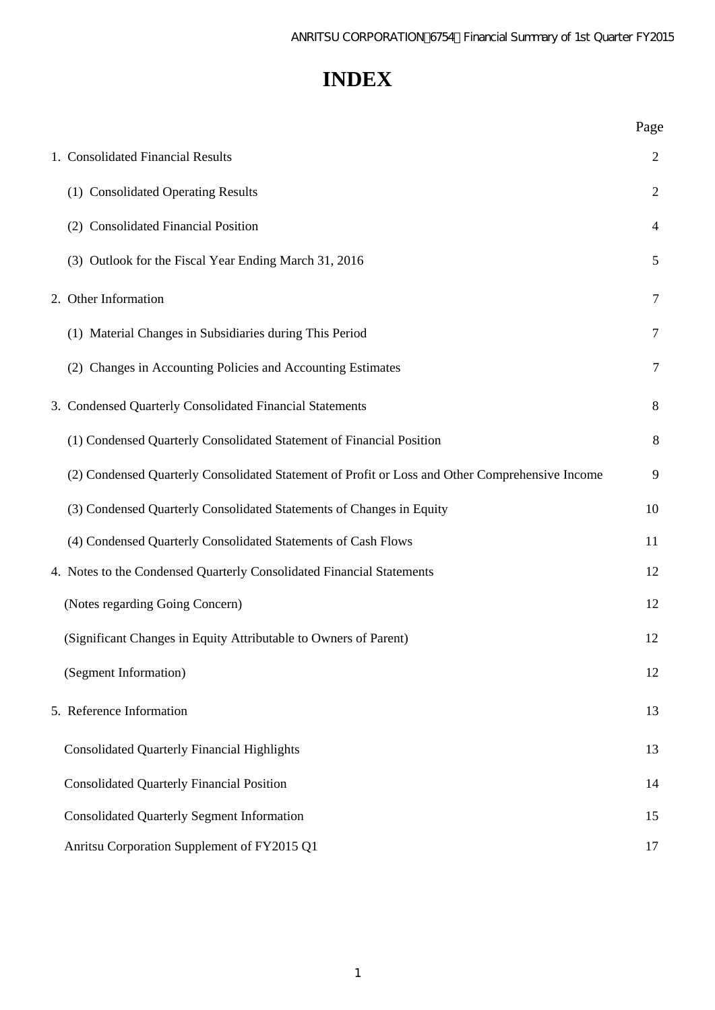# **INDEX**

|                                                                                                 | Page           |
|-------------------------------------------------------------------------------------------------|----------------|
| 1. Consolidated Financial Results                                                               | 2              |
| (1) Consolidated Operating Results                                                              | $\overline{2}$ |
| (2) Consolidated Financial Position                                                             | 4              |
| (3) Outlook for the Fiscal Year Ending March 31, 2016                                           | 5              |
| 2. Other Information                                                                            | 7              |
| (1) Material Changes in Subsidiaries during This Period                                         | 7              |
| (2) Changes in Accounting Policies and Accounting Estimates                                     | 7              |
| 3. Condensed Quarterly Consolidated Financial Statements                                        | 8              |
| (1) Condensed Quarterly Consolidated Statement of Financial Position                            | 8              |
| (2) Condensed Quarterly Consolidated Statement of Profit or Loss and Other Comprehensive Income | 9              |
| (3) Condensed Quarterly Consolidated Statements of Changes in Equity                            | 10             |
| (4) Condensed Quarterly Consolidated Statements of Cash Flows                                   | 11             |
| 4. Notes to the Condensed Quarterly Consolidated Financial Statements                           | 12             |
| (Notes regarding Going Concern)                                                                 | 12             |
| (Significant Changes in Equity Attributable to Owners of Parent)                                | 12             |
| (Segment Information)                                                                           | 12             |
| 5. Reference Information                                                                        | 13             |
| <b>Consolidated Quarterly Financial Highlights</b>                                              | 13             |
| <b>Consolidated Quarterly Financial Position</b>                                                | 14             |
| <b>Consolidated Quarterly Segment Information</b>                                               | 15             |
| Anritsu Corporation Supplement of FY2015 Q1                                                     | 17             |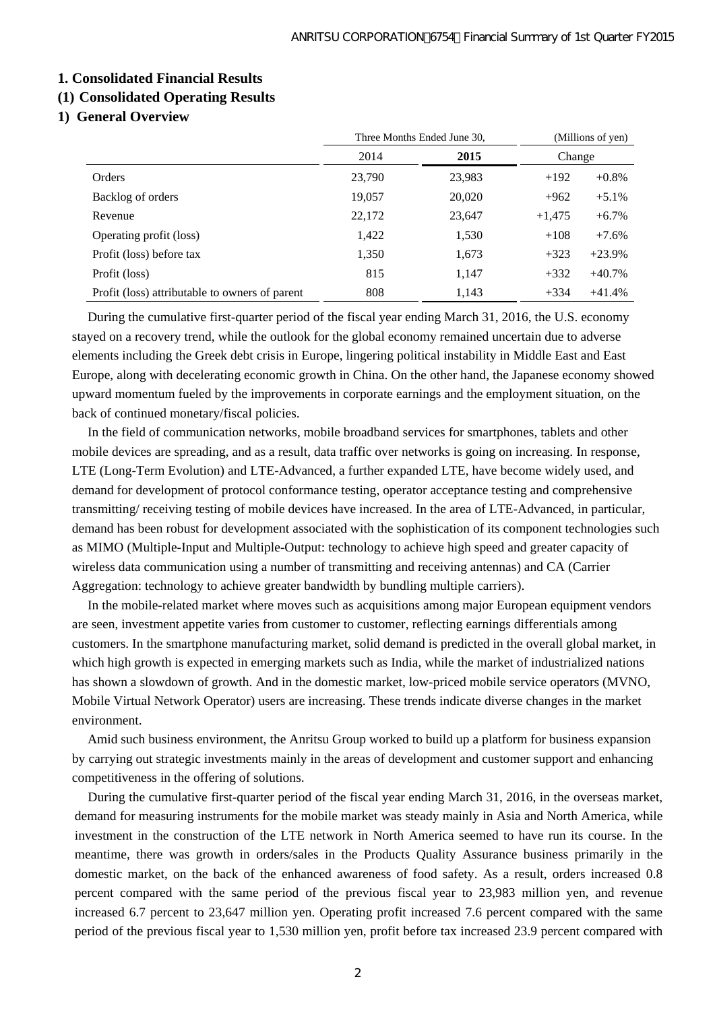#### **1. Consolidated Financial Results**

# **(1) Consolidated Operating Results**

### **1) General Overview**

|        | Three Months Ended June 30. | (Millions of yen) |          |
|--------|-----------------------------|-------------------|----------|
| 2014   | 2015                        | Change            |          |
| 23,790 | 23,983                      | $+192$            | $+0.8\%$ |
| 19,057 | 20,020                      | $+962$            | $+5.1%$  |
| 22,172 | 23,647                      | $+1,475$          | $+6.7\%$ |
| 1,422  | 1,530                       | $+108$            | $+7.6%$  |
| 1,350  | 1,673                       | $+323$            | $+23.9%$ |
| 815    | 1,147                       | $+332$            | $+40.7%$ |
| 808    | 1,143                       | $+334$            | $+41.4%$ |
|        |                             |                   |          |

During the cumulative first-quarter period of the fiscal year ending March 31, 2016, the U.S. economy stayed on a recovery trend, while the outlook for the global economy remained uncertain due to adverse elements including the Greek debt crisis in Europe, lingering political instability in Middle East and East Europe, along with decelerating economic growth in China. On the other hand, the Japanese economy showed upward momentum fueled by the improvements in corporate earnings and the employment situation, on the back of continued monetary/fiscal policies.

In the field of communication networks, mobile broadband services for smartphones, tablets and other mobile devices are spreading, and as a result, data traffic over networks is going on increasing. In response, LTE (Long-Term Evolution) and LTE-Advanced, a further expanded LTE, have become widely used, and demand for development of protocol conformance testing, operator acceptance testing and comprehensive transmitting/ receiving testing of mobile devices have increased. In the area of LTE-Advanced, in particular, demand has been robust for development associated with the sophistication of its component technologies such as MIMO (Multiple-Input and Multiple-Output: technology to achieve high speed and greater capacity of wireless data communication using a number of transmitting and receiving antennas) and CA (Carrier Aggregation: technology to achieve greater bandwidth by bundling multiple carriers).

In the mobile-related market where moves such as acquisitions among major European equipment vendors are seen, investment appetite varies from customer to customer, reflecting earnings differentials among customers. In the smartphone manufacturing market, solid demand is predicted in the overall global market, in which high growth is expected in emerging markets such as India, while the market of industrialized nations has shown a slowdown of growth. And in the domestic market, low-priced mobile service operators (MVNO, Mobile Virtual Network Operator) users are increasing. These trends indicate diverse changes in the market environment.

Amid such business environment, the Anritsu Group worked to build up a platform for business expansion by carrying out strategic investments mainly in the areas of development and customer support and enhancing competitiveness in the offering of solutions.

During the cumulative first-quarter period of the fiscal year ending March 31, 2016, in the overseas market, demand for measuring instruments for the mobile market was steady mainly in Asia and North America, while investment in the construction of the LTE network in North America seemed to have run its course. In the meantime, there was growth in orders/sales in the Products Quality Assurance business primarily in the domestic market, on the back of the enhanced awareness of food safety. As a result, orders increased 0.8 percent compared with the same period of the previous fiscal year to 23,983 million yen, and revenue increased 6.7 percent to 23,647 million yen. Operating profit increased 7.6 percent compared with the same period of the previous fiscal year to 1,530 million yen, profit before tax increased 23.9 percent compared with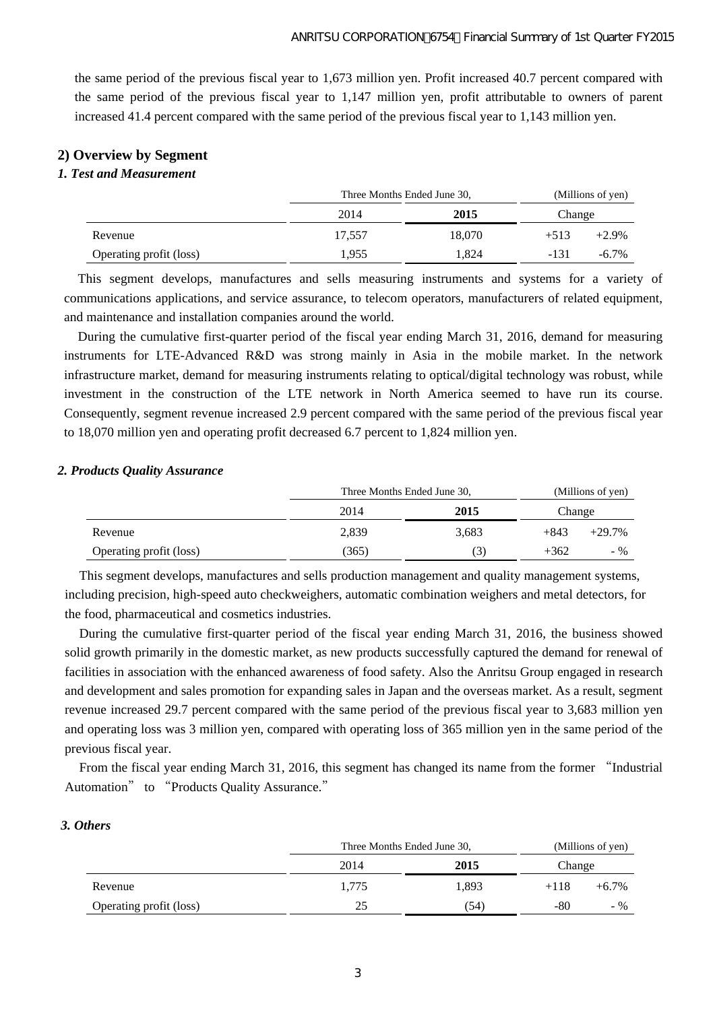the same period of the previous fiscal year to 1,673 million yen. Profit increased 40.7 percent compared with the same period of the previous fiscal year to 1,147 million yen, profit attributable to owners of parent increased 41.4 percent compared with the same period of the previous fiscal year to 1,143 million yen.

# **2) Overview by Segment**

### *1. Test and Measurement*

|                         | Three Months Ended June 30, | (Millions of yen) |        |          |
|-------------------------|-----------------------------|-------------------|--------|----------|
|                         | 2014                        | 2015              | Change |          |
| Revenue                 | 17.557                      | 18,070            | $+513$ | $+2.9%$  |
| Operating profit (loss) | 1.955                       | 1.824             | $-131$ | $-6.7\%$ |

This segment develops, manufactures and sells measuring instruments and systems for a variety of communications applications, and service assurance, to telecom operators, manufacturers of related equipment, and maintenance and installation companies around the world.

During the cumulative first-quarter period of the fiscal year ending March 31, 2016, demand for measuring instruments for LTE-Advanced R&D was strong mainly in Asia in the mobile market. In the network infrastructure market, demand for measuring instruments relating to optical/digital technology was robust, while investment in the construction of the LTE network in North America seemed to have run its course. Consequently, segment revenue increased 2.9 percent compared with the same period of the previous fiscal year to 18,070 million yen and operating profit decreased 6.7 percent to 1,824 million yen.

#### *2. Products Quality Assurance*

|       | (Millions of yen) |                             |          |
|-------|-------------------|-----------------------------|----------|
| 2014  | 2015              | Change                      |          |
| 2,839 | 3,683             | $+843$                      | $+29.7%$ |
| (365) | $\mathfrak{I}$    | $+362$                      | $-$ %    |
|       |                   | Three Months Ended June 30, |          |

This segment develops, manufactures and sells production management and quality management systems, including precision, high-speed auto checkweighers, automatic combination weighers and metal detectors, for the food, pharmaceutical and cosmetics industries.

During the cumulative first-quarter period of the fiscal year ending March 31, 2016, the business showed solid growth primarily in the domestic market, as new products successfully captured the demand for renewal of facilities in association with the enhanced awareness of food safety. Also the Anritsu Group engaged in research and development and sales promotion for expanding sales in Japan and the overseas market. As a result, segment revenue increased 29.7 percent compared with the same period of the previous fiscal year to 3,683 million yen and operating loss was 3 million yen, compared with operating loss of 365 million yen in the same period of the previous fiscal year.

From the fiscal year ending March 31, 2016, this segment has changed its name from the former "Industrial Automation" to "Products Quality Assurance."

## *3. Others*

|       | (Millions of yen) |                             |          |
|-------|-------------------|-----------------------------|----------|
| 2014  | 2015              | Change                      |          |
| 1.775 | 1,893             | $+118$                      | $+6.7\%$ |
| 25    | (54)              | -80                         | $-$ %    |
|       |                   | Three Months Ended June 30, |          |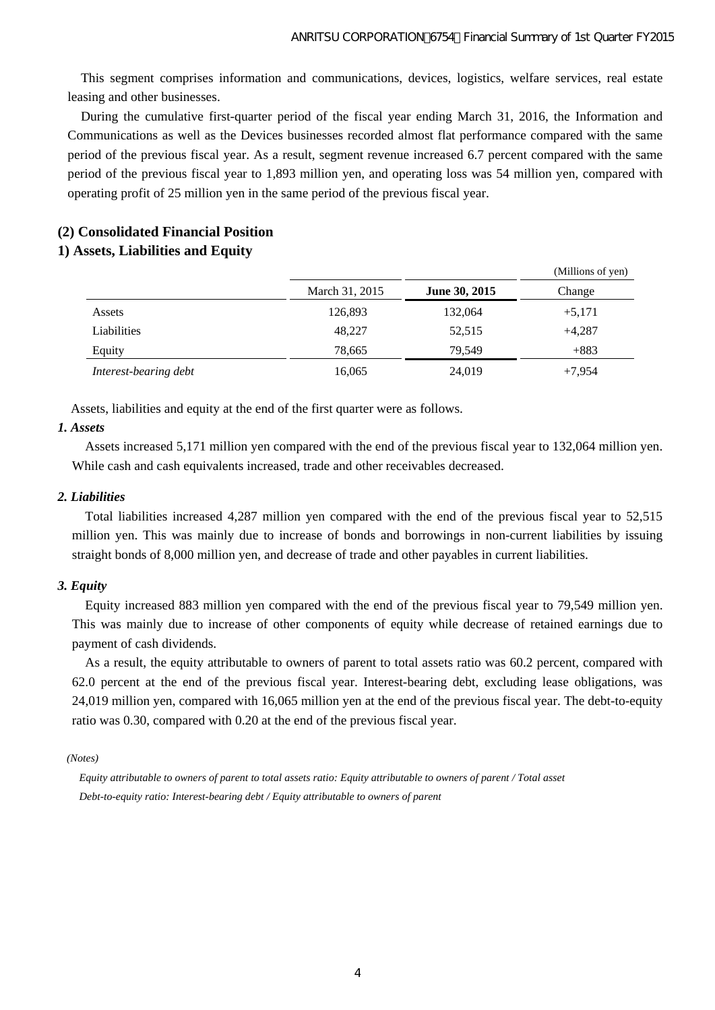This segment comprises information and communications, devices, logistics, welfare services, real estate leasing and other businesses.

During the cumulative first-quarter period of the fiscal year ending March 31, 2016, the Information and Communications as well as the Devices businesses recorded almost flat performance compared with the same period of the previous fiscal year. As a result, segment revenue increased 6.7 percent compared with the same period of the previous fiscal year to 1,893 million yen, and operating loss was 54 million yen, compared with operating profit of 25 million yen in the same period of the previous fiscal year.

# **(2) Consolidated Financial Position**

## **1) Assets, Liabilities and Equity**

|                       |                |               | (Millions of yen) |
|-----------------------|----------------|---------------|-------------------|
|                       | March 31, 2015 | June 30, 2015 | Change            |
| Assets                | 126,893        | 132,064       | $+5,171$          |
| Liabilities           | 48,227         | 52,515        | $+4,287$          |
| Equity                | 78,665         | 79.549        | $+883$            |
| Interest-bearing debt | 16,065         | 24,019        | $+7,954$          |

Assets, liabilities and equity at the end of the first quarter were as follows.

### *1. Assets*

Assets increased 5,171 million yen compared with the end of the previous fiscal year to 132,064 million yen. While cash and cash equivalents increased, trade and other receivables decreased.

### *2. Liabilities*

Total liabilities increased 4,287 million yen compared with the end of the previous fiscal year to 52,515 million yen. This was mainly due to increase of bonds and borrowings in non-current liabilities by issuing straight bonds of 8,000 million yen, and decrease of trade and other payables in current liabilities.

## *3. Equity*

Equity increased 883 million yen compared with the end of the previous fiscal year to 79,549 million yen. This was mainly due to increase of other components of equity while decrease of retained earnings due to payment of cash dividends.

As a result, the equity attributable to owners of parent to total assets ratio was 60.2 percent, compared with 62.0 percent at the end of the previous fiscal year. Interest-bearing debt, excluding lease obligations, was 24,019 million yen, compared with 16,065 million yen at the end of the previous fiscal year. The debt-to-equity ratio was 0.30, compared with 0.20 at the end of the previous fiscal year.

 *(Notes)* 

*Equity attributable to owners of parent to total assets ratio: Equity attributable to owners of parent / Total asset Debt-to-equity ratio: Interest-bearing debt / Equity attributable to owners of parent*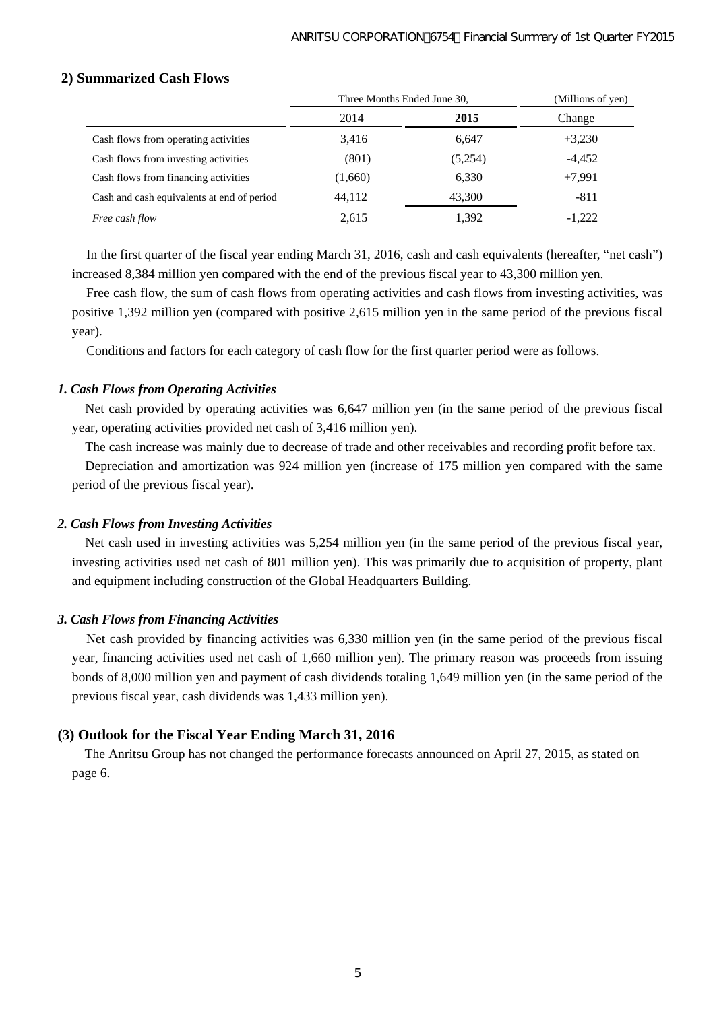|                                            | Three Months Ended June 30, | (Millions of yen) |          |
|--------------------------------------------|-----------------------------|-------------------|----------|
|                                            | 2014                        | 2015              | Change   |
| Cash flows from operating activities       | 3.416                       | 6,647             | $+3,230$ |
| Cash flows from investing activities       | (801)                       | (5,254)           | $-4,452$ |
| Cash flows from financing activities       | (1,660)                     | 6.330             | $+7.991$ |
| Cash and cash equivalents at end of period | 44,112                      | 43,300            | $-811$   |
| Free cash flow                             | 2,615                       | 1,392             | $-1,222$ |

# **2) Summarized Cash Flows**

In the first quarter of the fiscal year ending March 31, 2016, cash and cash equivalents (hereafter, "net cash") increased 8,384 million yen compared with the end of the previous fiscal year to 43,300 million yen.

Free cash flow, the sum of cash flows from operating activities and cash flows from investing activities, was positive 1,392 million yen (compared with positive 2,615 million yen in the same period of the previous fiscal year).

Conditions and factors for each category of cash flow for the first quarter period were as follows.

# *1. Cash Flows from Operating Activities*

Net cash provided by operating activities was 6,647 million yen (in the same period of the previous fiscal year, operating activities provided net cash of 3,416 million yen).

The cash increase was mainly due to decrease of trade and other receivables and recording profit before tax.

Depreciation and amortization was 924 million yen (increase of 175 million yen compared with the same period of the previous fiscal year).

# *2. Cash Flows from Investing Activities*

Net cash used in investing activities was 5,254 million yen (in the same period of the previous fiscal year, investing activities used net cash of 801 million yen). This was primarily due to acquisition of property, plant and equipment including construction of the Global Headquarters Building.

# *3. Cash Flows from Financing Activities*

Net cash provided by financing activities was 6,330 million yen (in the same period of the previous fiscal year, financing activities used net cash of 1,660 million yen). The primary reason was proceeds from issuing bonds of 8,000 million yen and payment of cash dividends totaling 1,649 million yen (in the same period of the previous fiscal year, cash dividends was 1,433 million yen).

# **(3) Outlook for the Fiscal Year Ending March 31, 2016**

The Anritsu Group has not changed the performance forecasts announced on April 27, 2015, as stated on page 6.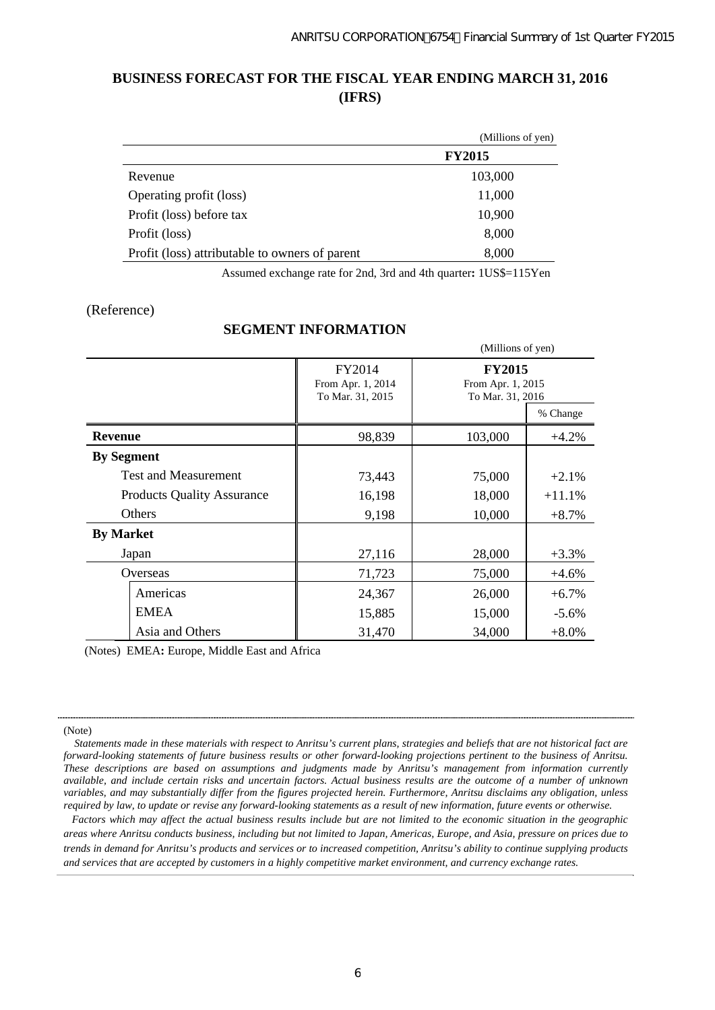# **BUSINESS FORECAST FOR THE FISCAL YEAR ENDING MARCH 31, 2016 (IFRS)**

|                                                | (Millions of yen) |
|------------------------------------------------|-------------------|
|                                                | <b>FY2015</b>     |
| Revenue                                        | 103,000           |
| Operating profit (loss)                        | 11,000            |
| Profit (loss) before tax                       | 10,900            |
| Profit (loss)                                  | 8,000             |
| Profit (loss) attributable to owners of parent | 8,000             |

Assumed exchange rate for 2nd, 3rd and 4th quarter**:** 1US\$=115Yen

## (Reference)

# **SEGMENT INFORMATION**

|                                   |                                                 | (Millions of yen)                                      |          |  |  |
|-----------------------------------|-------------------------------------------------|--------------------------------------------------------|----------|--|--|
|                                   | FY2014<br>From Apr. 1, 2014<br>To Mar. 31, 2015 | <b>FY2015</b><br>From Apr. 1, 2015<br>To Mar. 31, 2016 |          |  |  |
|                                   |                                                 |                                                        | % Change |  |  |
| <b>Revenue</b>                    | 98,839                                          | 103,000                                                | $+4.2%$  |  |  |
| <b>By Segment</b>                 |                                                 |                                                        |          |  |  |
| <b>Test and Measurement</b>       | 73,443                                          | 75,000                                                 | $+2.1%$  |  |  |
| <b>Products Quality Assurance</b> | 16,198                                          | 18,000                                                 | $+11.1%$ |  |  |
| Others                            | 9,198                                           | 10,000                                                 | $+8.7\%$ |  |  |
| <b>By Market</b>                  |                                                 |                                                        |          |  |  |
| Japan                             | 27,116                                          | 28,000                                                 | $+3.3%$  |  |  |
| Overseas                          | 71,723                                          | 75,000                                                 | $+4.6%$  |  |  |
| Americas                          | 24,367                                          | 26,000                                                 | $+6.7\%$ |  |  |
| <b>EMEA</b>                       | 15,885                                          | 15,000                                                 | $-5.6\%$ |  |  |
| Asia and Others                   | 31,470                                          | 34,000                                                 | $+8.0\%$ |  |  |

(Notes) EMEA**:** Europe, Middle East and Africa

#### (Note)

*Factors which may affect the actual business results include but are not limited to the economic situation in the geographic areas where Anritsu conducts business, including but not limited to Japan, Americas, Europe, and Asia, pressure on prices due to trends in demand for Anritsu's products and services or to increased competition, Anritsu's ability to continue supplying products and services that are accepted by customers in a highly competitive market environment, and currency exchange rates.*

*Statements made in these materials with respect to Anritsu's current plans, strategies and beliefs that are not historical fact are forward-looking statements of future business results or other forward-looking projections pertinent to the business of Anritsu. These descriptions are based on assumptions and judgments made by Anritsu's management from information currently available, and include certain risks and uncertain factors. Actual business results are the outcome of a number of unknown variables, and may substantially differ from the figures projected herein. Furthermore, Anritsu disclaims any obligation, unless required by law, to update or revise any forward-looking statements as a result of new information, future events or otherwise.*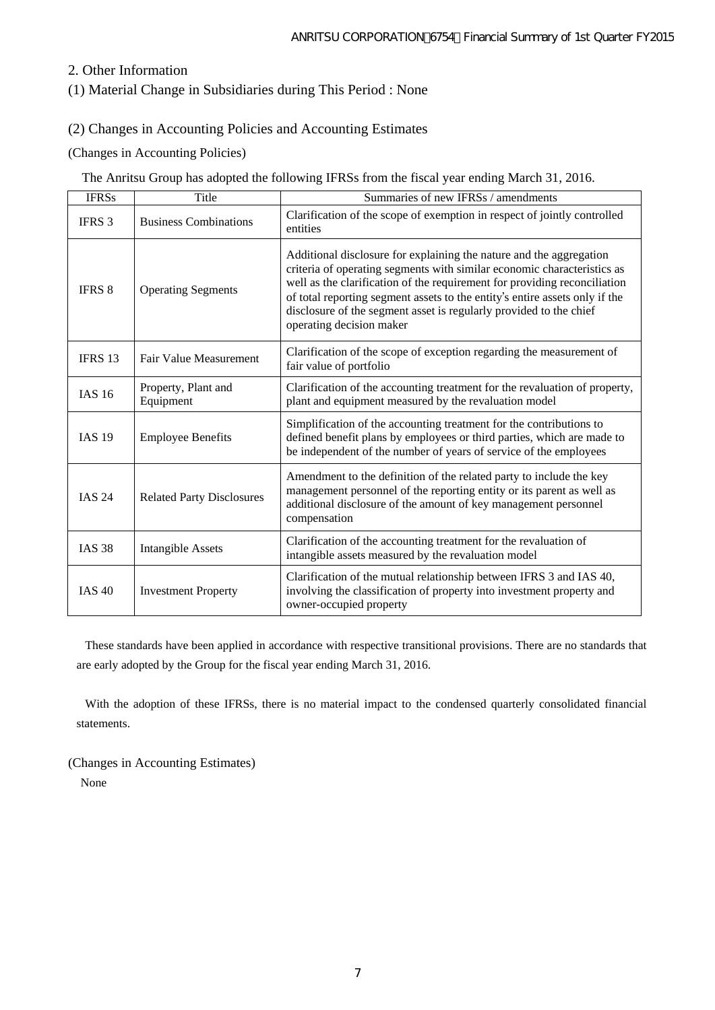# 2. Other Information

# (1) Material Change in Subsidiaries during This Period : None

# (2) Changes in Accounting Policies and Accounting Estimates

## (Changes in Accounting Policies)

The Anritsu Group has adopted the following IFRSs from the fiscal year ending March 31, 2016.

| <b>IFRSs</b>  | Title                            | Summaries of new IFRSs / amendments                                                                                                                                                                                                                                                                                                                                                                          |
|---------------|----------------------------------|--------------------------------------------------------------------------------------------------------------------------------------------------------------------------------------------------------------------------------------------------------------------------------------------------------------------------------------------------------------------------------------------------------------|
| <b>IFRS</b> 3 | <b>Business Combinations</b>     | Clarification of the scope of exemption in respect of jointly controlled<br>entities                                                                                                                                                                                                                                                                                                                         |
| <b>IFRS 8</b> | <b>Operating Segments</b>        | Additional disclosure for explaining the nature and the aggregation<br>criteria of operating segments with similar economic characteristics as<br>well as the clarification of the requirement for providing reconciliation<br>of total reporting segment assets to the entity's entire assets only if the<br>disclosure of the segment asset is regularly provided to the chief<br>operating decision maker |
| IFRS 13       | Fair Value Measurement           | Clarification of the scope of exception regarding the measurement of<br>fair value of portfolio                                                                                                                                                                                                                                                                                                              |
| <b>IAS 16</b> | Property, Plant and<br>Equipment | Clarification of the accounting treatment for the revaluation of property,<br>plant and equipment measured by the revaluation model                                                                                                                                                                                                                                                                          |
| <b>IAS 19</b> | <b>Employee Benefits</b>         | Simplification of the accounting treatment for the contributions to<br>defined benefit plans by employees or third parties, which are made to<br>be independent of the number of years of service of the employees                                                                                                                                                                                           |
| <b>IAS 24</b> | <b>Related Party Disclosures</b> | Amendment to the definition of the related party to include the key<br>management personnel of the reporting entity or its parent as well as<br>additional disclosure of the amount of key management personnel<br>compensation                                                                                                                                                                              |
| <b>IAS 38</b> | Intangible Assets                | Clarification of the accounting treatment for the revaluation of<br>intangible assets measured by the revaluation model                                                                                                                                                                                                                                                                                      |
| <b>IAS 40</b> | <b>Investment Property</b>       | Clarification of the mutual relationship between IFRS 3 and IAS 40,<br>involving the classification of property into investment property and<br>owner-occupied property                                                                                                                                                                                                                                      |

These standards have been applied in accordance with respective transitional provisions. There are no standards that are early adopted by the Group for the fiscal year ending March 31, 2016.

With the adoption of these IFRSs, there is no material impact to the condensed quarterly consolidated financial statements.

(Changes in Accounting Estimates) None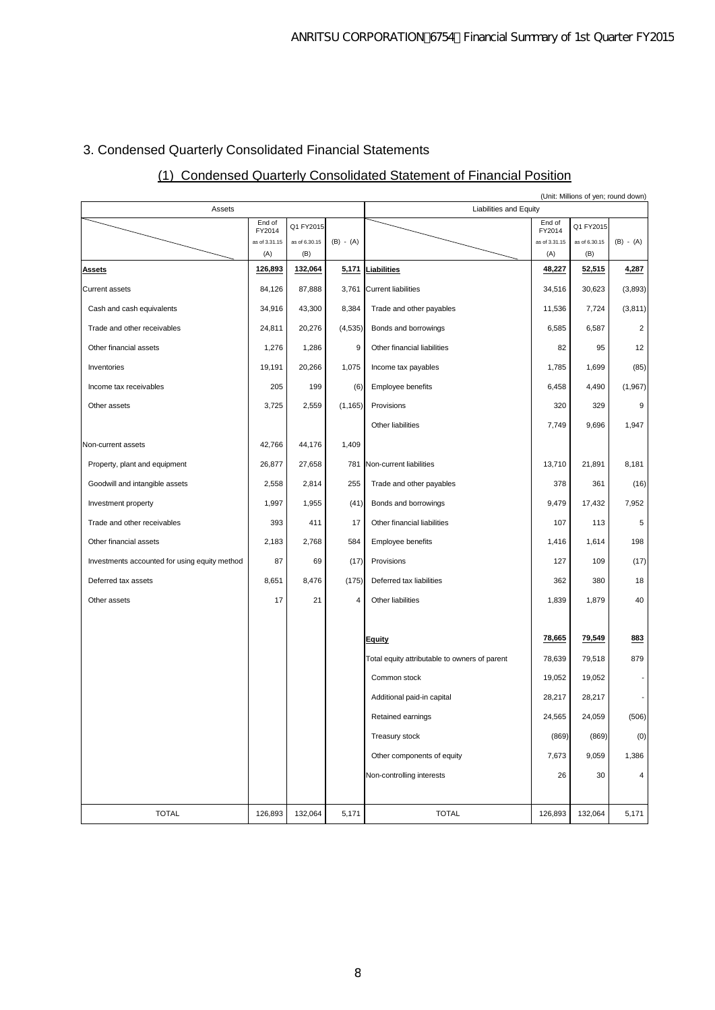# 3. Condensed Quarterly Consolidated Financial Statements

# (1) Condensed Quarterly Consolidated Statement of Financial Position

|                                               |                      |                      |             |                                               |                      | (Unit: Millions of yen; round down) |             |  |
|-----------------------------------------------|----------------------|----------------------|-------------|-----------------------------------------------|----------------------|-------------------------------------|-------------|--|
| Assets                                        | End of               |                      |             | Liabilities and Equity<br>End of              |                      |                                     |             |  |
|                                               | FY2014               | Q1 FY2015            |             |                                               | FY2014               | Q1 FY2015                           |             |  |
|                                               | as of 3.31.15<br>(A) | as of 6.30.15<br>(B) | $(B) - (A)$ |                                               | as of 3.31.15<br>(A) | as of 6.30.15<br>(B)                | $(B) - (A)$ |  |
| <b>Assets</b>                                 | 126,893              | 132,064              | 5,171       | Liabilities                                   | 48,227               | 52,515                              | 4,287       |  |
| Current assets                                | 84,126               | 87,888               | 3,761       | Current liabilities                           | 34,516               | 30,623                              | (3,893)     |  |
| Cash and cash equivalents                     | 34,916               | 43,300               | 8,384       | Trade and other payables                      | 11,536               | 7,724                               | (3,811)     |  |
| Trade and other receivables                   | 24,811               | 20,276               | (4, 535)    | Bonds and borrowings                          | 6,585                | 6,587                               | 2           |  |
| Other financial assets                        | 1,276                | 1,286                | 9           | Other financial liabilities                   | 82                   | 95                                  | 12          |  |
| Inventories                                   | 19,191               | 20,266               | 1,075       | Income tax payables                           | 1,785                | 1,699                               | (85)        |  |
| Income tax receivables                        | 205                  | 199                  | (6)         | Employee benefits                             | 6,458                | 4,490                               | (1,967)     |  |
| Other assets                                  | 3,725                | 2,559                | (1, 165)    | Provisions                                    | 320                  | 329                                 | 9           |  |
|                                               |                      |                      |             | Other liabilities                             | 7,749                | 9,696                               | 1,947       |  |
| Non-current assets                            | 42,766               | 44,176               | 1,409       |                                               |                      |                                     |             |  |
| Property, plant and equipment                 | 26,877               | 27,658               | 781         | Non-current liabilities                       | 13,710               | 21,891                              | 8,181       |  |
| Goodwill and intangible assets                | 2,558                | 2,814                | 255         | Trade and other payables                      | 378                  | 361                                 | (16)        |  |
| Investment property                           | 1,997                | 1,955                | (41)        | Bonds and borrowings                          | 9,479                | 17,432                              | 7,952       |  |
| Trade and other receivables                   | 393                  | 411                  | 17          | Other financial liabilities                   | 107                  | 113                                 | 5           |  |
| Other financial assets                        | 2,183                | 2,768                | 584         | Employee benefits                             | 1,416                | 1,614                               | 198         |  |
| Investments accounted for using equity method | 87                   | 69                   | (17)        | Provisions                                    | 127                  | 109                                 | (17)        |  |
| Deferred tax assets                           | 8,651                | 8,476                | (175)       | Deferred tax liabilities                      | 362                  | 380                                 | 18          |  |
| Other assets                                  | 17                   | 21                   | 4           | Other liabilities                             | 1,839                | 1,879                               | 40          |  |
|                                               |                      |                      |             |                                               |                      |                                     |             |  |
|                                               |                      |                      |             | Equity                                        | 78,665               | 79,549                              | 883         |  |
|                                               |                      |                      |             | Total equity attributable to owners of parent | 78,639               | 79,518                              | 879         |  |
|                                               |                      |                      |             | Common stock                                  | 19,052               | 19,052                              |             |  |
|                                               |                      |                      |             | Additional paid-in capital                    | 28,217               | 28,217                              |             |  |
|                                               |                      |                      |             | Retained earnings                             | 24,565               | 24,059                              | (506)       |  |
|                                               |                      |                      |             | Treasury stock                                | (869)                | (869)                               | (0)         |  |
|                                               |                      |                      |             | Other components of equity                    | 7,673                | 9,059                               | 1,386       |  |
|                                               |                      |                      |             | Non-controlling interests                     | 26                   | 30                                  | 4           |  |
|                                               |                      |                      |             |                                               |                      |                                     |             |  |
| <b>TOTAL</b>                                  | 126,893              | 132,064              | 5,171       | <b>TOTAL</b>                                  | 126,893              | 132,064                             | 5,171       |  |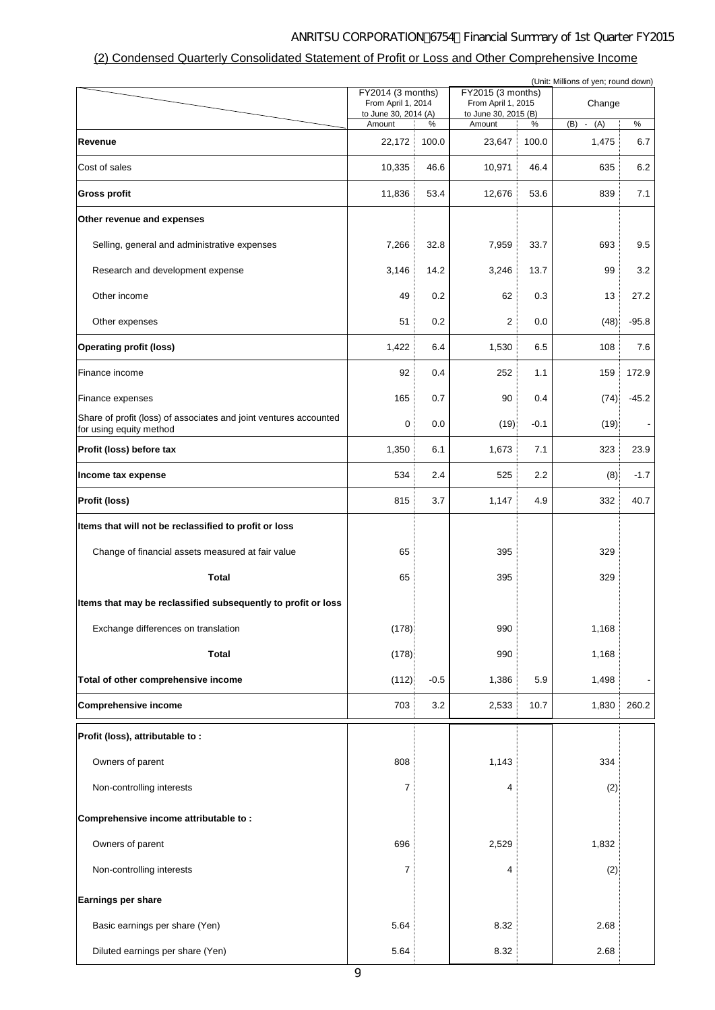# ANRITSU CORPORATION 6754 Financial Summary of 1st Quarter FY2015

# (2) Condensed Quarterly Consolidated Statement of Profit or Loss and Other Comprehensive Income

| (Unit: Millions of yen; round down)                                                          |                      |                                         |                      |                                         |                      |         |  |  |
|----------------------------------------------------------------------------------------------|----------------------|-----------------------------------------|----------------------|-----------------------------------------|----------------------|---------|--|--|
|                                                                                              |                      | FY2014 (3 months)<br>From April 1, 2014 |                      | FY2015 (3 months)<br>From April 1, 2015 | Change               |         |  |  |
|                                                                                              | to June 30, 2014 (A) |                                         | to June 30, 2015 (B) |                                         |                      |         |  |  |
|                                                                                              | Amount               | %                                       | Amount               | ℅                                       | (B)<br>(A)<br>$\sim$ | $\%$    |  |  |
| Revenue                                                                                      | 22,172               | 100.0                                   | 23,647               | 100.0                                   | 1,475                | 6.7     |  |  |
| Cost of sales                                                                                | 10,335               | 46.6                                    | 10,971               | 46.4                                    | 635                  | 6.2     |  |  |
| <b>Gross profit</b>                                                                          | 11,836               | 53.4                                    | 12,676               | 53.6                                    | 839                  | 7.1     |  |  |
| Other revenue and expenses                                                                   |                      |                                         |                      |                                         |                      |         |  |  |
| Selling, general and administrative expenses                                                 | 7,266                | 32.8                                    | 7,959                | 33.7                                    | 693                  | 9.5     |  |  |
| Research and development expense                                                             | 3,146                | 14.2                                    | 3,246                | 13.7                                    | 99                   | 3.2     |  |  |
| Other income                                                                                 | 49                   | 0.2                                     | 62                   | 0.3                                     | 13                   | 27.2    |  |  |
| Other expenses                                                                               | 51                   | 0.2                                     | 2                    | 0.0                                     | (48)                 | $-95.8$ |  |  |
| <b>Operating profit (loss)</b>                                                               | 1,422                | 6.4                                     | 1,530                | 6.5                                     | 108                  | 7.6     |  |  |
| Finance income                                                                               | 92                   | 0.4                                     | 252                  | 1.1                                     | 159                  | 172.9   |  |  |
| Finance expenses                                                                             | 165                  | 0.7                                     | 90                   | 0.4                                     | (74)                 | $-45.2$ |  |  |
| Share of profit (loss) of associates and joint ventures accounted<br>for using equity method | 0                    | 0.0                                     | (19)                 | $-0.1$                                  | (19)                 |         |  |  |
| Profit (loss) before tax                                                                     | 1,350                | 6.1                                     | 1,673                | 7.1                                     | 323                  | 23.9    |  |  |
| Income tax expense                                                                           | 534                  | 2.4                                     | 525                  | 2.2                                     | (8)                  | $-1.7$  |  |  |
| Profit (loss)                                                                                | 815                  | 3.7                                     | 1,147                | 4.9                                     | 332                  | 40.7    |  |  |
| Items that will not be reclassified to profit or loss                                        |                      |                                         |                      |                                         |                      |         |  |  |
| Change of financial assets measured at fair value                                            | 65                   |                                         | 395                  |                                         | 329                  |         |  |  |
| <b>Total</b>                                                                                 | 65                   |                                         | 395                  |                                         | 329                  |         |  |  |
| Items that may be reclassified subsequently to profit or loss                                |                      |                                         |                      |                                         |                      |         |  |  |
| Exchange differences on translation                                                          | (178)                |                                         | 990                  |                                         | 1,168                |         |  |  |
| <b>Total</b>                                                                                 | (178)                |                                         | 990                  |                                         | 1,168                |         |  |  |
| Total of other comprehensive income                                                          | (112)                | $-0.5$                                  | 1,386                | 5.9                                     | 1,498                |         |  |  |
| <b>Comprehensive income</b>                                                                  | 703                  | 3.2                                     | 2,533                | 10.7                                    | 1,830                | 260.2   |  |  |
| Profit (loss), attributable to :                                                             |                      |                                         |                      |                                         |                      |         |  |  |
| Owners of parent                                                                             | 808                  |                                         | 1,143                |                                         | 334                  |         |  |  |
| Non-controlling interests                                                                    | 7                    |                                         | 4                    |                                         | (2)                  |         |  |  |
| Comprehensive income attributable to:                                                        |                      |                                         |                      |                                         |                      |         |  |  |
| Owners of parent                                                                             | 696                  |                                         | 2,529                |                                         | 1,832                |         |  |  |
| Non-controlling interests                                                                    | 7                    |                                         | 4                    |                                         | (2)                  |         |  |  |
| Earnings per share                                                                           |                      |                                         |                      |                                         |                      |         |  |  |
| Basic earnings per share (Yen)                                                               | 5.64                 |                                         | 8.32                 |                                         | 2.68                 |         |  |  |
| Diluted earnings per share (Yen)                                                             | 5.64                 |                                         | 8.32                 |                                         | 2.68                 |         |  |  |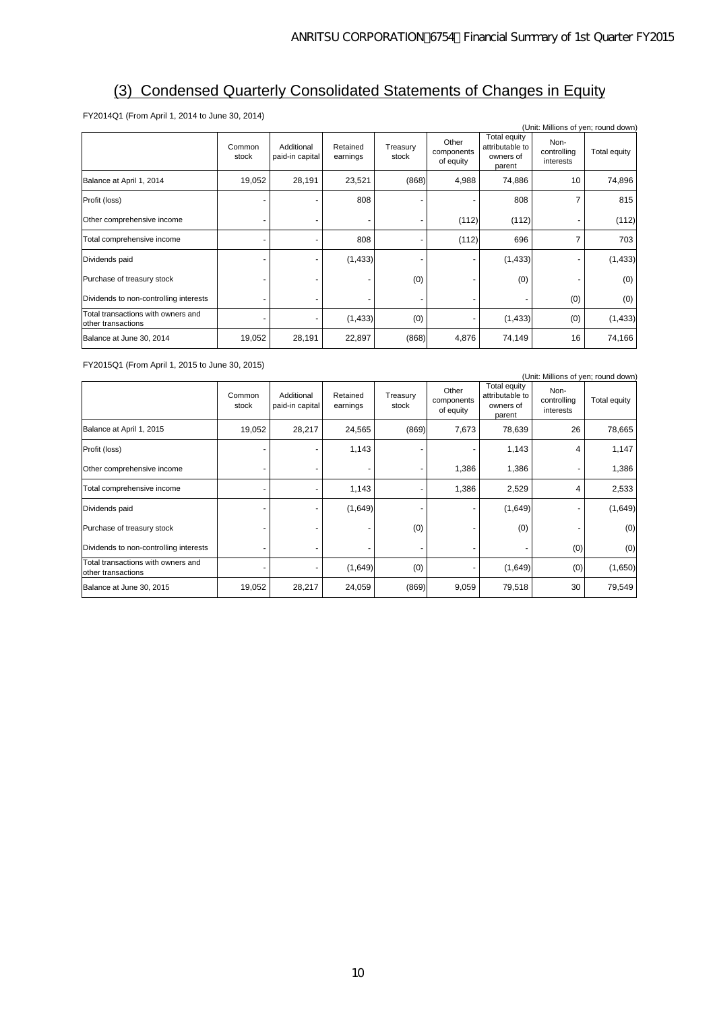# (3) Condensed Quarterly Consolidated Statements of Changes in Equity

FY2014Q1 (From April 1, 2014 to June 30, 2014)

| (Unit: Millions of yen; round down)                      |                 |                               |                      |                   |                                  |                                                        |                                  |              |  |
|----------------------------------------------------------|-----------------|-------------------------------|----------------------|-------------------|----------------------------------|--------------------------------------------------------|----------------------------------|--------------|--|
|                                                          | Common<br>stock | Additional<br>paid-in capital | Retained<br>earnings | Treasury<br>stock | Other<br>components<br>of equity | Total equity<br>attributable to<br>owners of<br>parent | Non-<br>controlling<br>interests | Total equity |  |
| Balance at April 1, 2014                                 | 19,052          | 28,191                        | 23,521               | (868)             | 4,988                            | 74,886                                                 | 10                               | 74,896       |  |
| Profit (loss)                                            |                 |                               | 808                  |                   |                                  | 808                                                    |                                  | 815          |  |
| Other comprehensive income                               |                 |                               |                      |                   | (112)                            | (112)                                                  |                                  | (112)        |  |
| Total comprehensive income                               |                 |                               | 808                  |                   | (112)                            | 696                                                    |                                  | 703          |  |
| Dividends paid                                           |                 |                               | (1, 433)             |                   |                                  | (1, 433)                                               |                                  | (1, 433)     |  |
| Purchase of treasury stock                               |                 |                               |                      | (0)               |                                  | (0)                                                    |                                  | (0)          |  |
| Dividends to non-controlling interests                   |                 |                               |                      |                   |                                  |                                                        | (0)                              | (0)          |  |
| Total transactions with owners and<br>other transactions |                 |                               | (1, 433)             | (0)               |                                  | (1, 433)                                               | (0)                              | (1, 433)     |  |
| Balance at June 30, 2014                                 | 19,052          | 28,191                        | 22,897               | (868)             | 4,876                            | 74,149                                                 | 16                               | 74,166       |  |

FY2015Q1 (From April 1, 2015 to June 30, 2015)

| (Unit: Millions of yen; round down)                      |                 |                               |                      |                   |                                  |                                                               |                                  |              |  |  |
|----------------------------------------------------------|-----------------|-------------------------------|----------------------|-------------------|----------------------------------|---------------------------------------------------------------|----------------------------------|--------------|--|--|
|                                                          | Common<br>stock | Additional<br>paid-in capital | Retained<br>earnings | Treasury<br>stock | Other<br>components<br>of equity | <b>Total equity</b><br>attributable to<br>owners of<br>parent | Non-<br>controlling<br>interests | Total equity |  |  |
| Balance at April 1, 2015                                 | 19,052          | 28,217                        | 24,565               | (869)             | 7,673                            | 78,639                                                        | 26                               | 78,665       |  |  |
| Profit (loss)                                            |                 |                               | 1,143                |                   |                                  | 1,143                                                         | 4                                | 1,147        |  |  |
| Other comprehensive income                               |                 |                               |                      |                   | 1,386                            | 1,386                                                         |                                  | 1,386        |  |  |
| Total comprehensive income                               |                 |                               | 1,143                |                   | 1,386                            | 2,529                                                         | 4                                | 2,533        |  |  |
| Dividends paid                                           |                 |                               | (1,649)              |                   |                                  | (1,649)                                                       |                                  | (1,649)      |  |  |
| Purchase of treasury stock                               |                 |                               |                      | (0)               |                                  | (0)                                                           |                                  | (0)          |  |  |
| Dividends to non-controlling interests                   |                 |                               |                      |                   |                                  |                                                               | (0)                              | (0)          |  |  |
| Total transactions with owners and<br>other transactions |                 |                               | (1,649)              | (0)               |                                  | (1,649)                                                       | (0)                              | (1,650)      |  |  |
| Balance at June 30, 2015                                 | 19,052          | 28,217                        | 24,059               | (869)             | 9,059                            | 79,518                                                        | 30                               | 79,549       |  |  |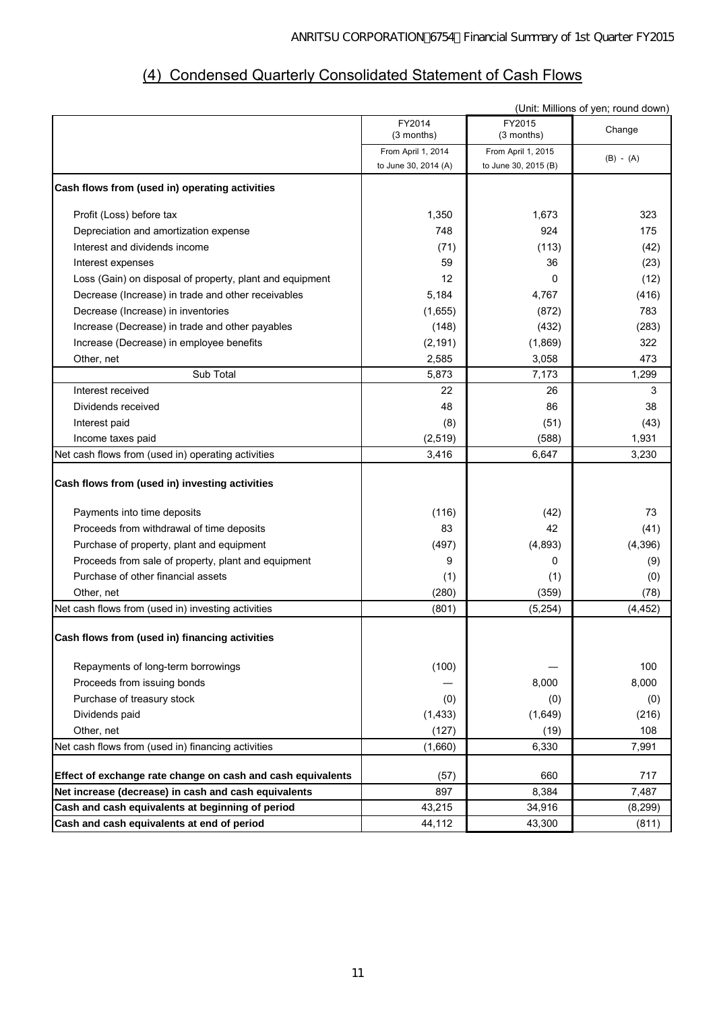# (4) Condensed Quarterly Consolidated Statement of Cash Flows

|                                                             | (Unit: Millions of yen; round down) |                      |             |  |  |  |
|-------------------------------------------------------------|-------------------------------------|----------------------|-------------|--|--|--|
|                                                             | FY2014<br>$(3$ months)              | FY2015<br>(3 months) | Change      |  |  |  |
|                                                             | From April 1, 2014                  | From April 1, 2015   | $(B) - (A)$ |  |  |  |
|                                                             | to June 30, 2014 (A)                | to June 30, 2015 (B) |             |  |  |  |
| Cash flows from (used in) operating activities              |                                     |                      |             |  |  |  |
| Profit (Loss) before tax                                    | 1,350                               | 1,673                | 323         |  |  |  |
| Depreciation and amortization expense                       | 748                                 | 924                  | 175         |  |  |  |
| Interest and dividends income                               | (71)                                | (113)                | (42)        |  |  |  |
| Interest expenses                                           | 59                                  | 36                   | (23)        |  |  |  |
| Loss (Gain) on disposal of property, plant and equipment    | 12                                  | 0                    | (12)        |  |  |  |
| Decrease (Increase) in trade and other receivables          | 5,184                               | 4,767                | (416)       |  |  |  |
| Decrease (Increase) in inventories                          | (1,655)                             | (872)                | 783         |  |  |  |
| Increase (Decrease) in trade and other payables             | (148)                               | (432)                | (283)       |  |  |  |
| Increase (Decrease) in employee benefits                    | (2, 191)                            | (1,869)              | 322         |  |  |  |
| Other, net                                                  | 2,585                               | 3,058                | 473         |  |  |  |
| Sub Total                                                   | 5,873                               | 7,173                | 1,299       |  |  |  |
| Interest received                                           | 22                                  | 26                   | 3           |  |  |  |
| Dividends received                                          | 48                                  | 86                   | 38          |  |  |  |
| Interest paid                                               | (8)                                 | (51)                 | (43)        |  |  |  |
| Income taxes paid                                           | (2, 519)                            | (588)                | 1,931       |  |  |  |
| Net cash flows from (used in) operating activities          | 3,416                               | 6,647                | 3,230       |  |  |  |
| Cash flows from (used in) investing activities              |                                     |                      |             |  |  |  |
| Payments into time deposits                                 | (116)                               | (42)                 | 73          |  |  |  |
| Proceeds from withdrawal of time deposits                   | 83                                  | 42                   | (41)        |  |  |  |
| Purchase of property, plant and equipment                   | (497)                               | (4,893)              | (4, 396)    |  |  |  |
| Proceeds from sale of property, plant and equipment         | 9                                   | 0                    | (9)         |  |  |  |
| Purchase of other financial assets                          | (1)                                 | (1)                  | (0)         |  |  |  |
| Other, net                                                  | (280)                               | (359)                | (78)        |  |  |  |
| Net cash flows from (used in) investing activities          | (801)                               | (5,254)              | (4, 452)    |  |  |  |
| Cash flows from (used in) financing activities              |                                     |                      |             |  |  |  |
| Repayments of long-term borrowings                          | (100)                               |                      | 100         |  |  |  |
| Proceeds from issuing bonds                                 |                                     | 8,000                | 8,000       |  |  |  |
| Purchase of treasury stock                                  | (0)                                 | (0)                  | (0)         |  |  |  |
| Dividends paid                                              | (1, 433)                            | (1,649)              | (216)       |  |  |  |
| Other, net                                                  | (127)                               | (19)                 | 108         |  |  |  |
| Net cash flows from (used in) financing activities          | (1,660)                             | 6,330                | 7,991       |  |  |  |
|                                                             |                                     |                      |             |  |  |  |
| Effect of exchange rate change on cash and cash equivalents | (57)                                | 660                  | 717         |  |  |  |
| Net increase (decrease) in cash and cash equivalents        | 897                                 | 8,384                | 7,487       |  |  |  |
| Cash and cash equivalents at beginning of period            | 43,215                              | 34,916               | (8, 299)    |  |  |  |
| Cash and cash equivalents at end of period                  | 44,112                              | 43,300               | (811)       |  |  |  |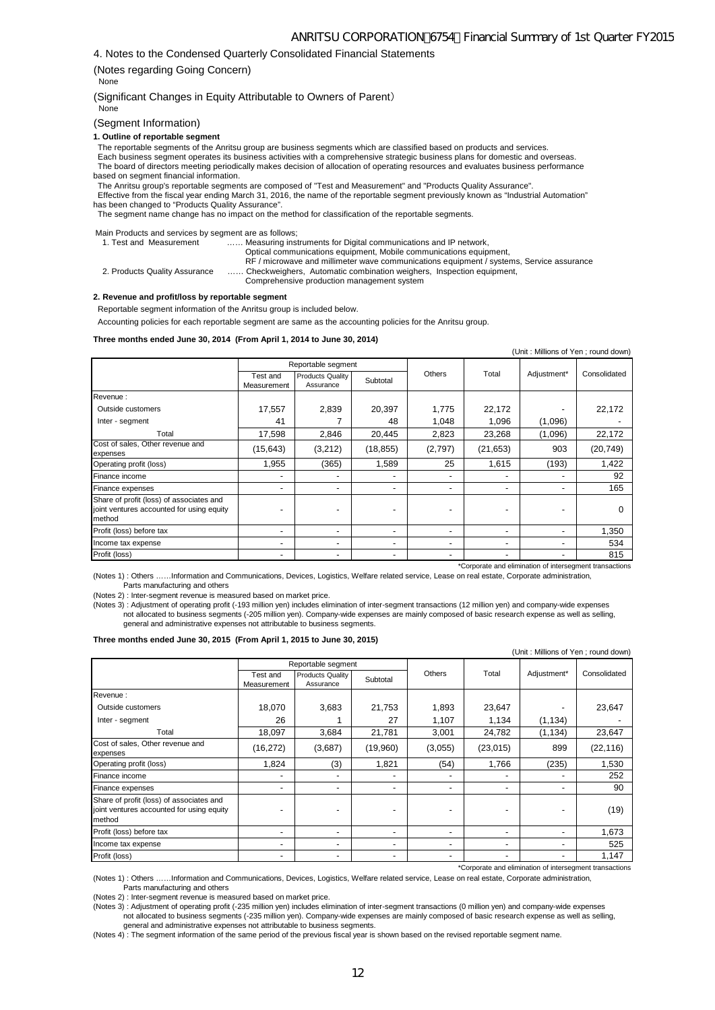4. Notes to the Condensed Quarterly Consolidated Financial Statements

#### (Notes regarding Going Concern)

None

(Significant Changes in Equity Attributable to Owners of Parent) None

(Segment Information)

#### **1. Outline of reportable segment**

The reportable segments of the Anritsu group are business segments which are classified based on products and services.

 Each business segment operates its business activities with a comprehensive strategic business plans for domestic and overseas. The board of directors meeting periodically makes decision of allocation of operating resources and evaluates business performance based on segment financial information.

 The Anritsu group's reportable segments are composed of "Test and Measurement" and "Products Quality Assurance". Effective from the fiscal year ending March 31, 2016, the name of the reportable segment previously known as "Industrial Automation" has been changed to "Products Quality Assurance".

The segment name change has no impact on the method for classification of the reportable segments.

Main Products and services by segment are as follows;

| <b>INCHEFF FOUNDING CITY SUBJECT DY SUGGEROUS CO. TORONG,</b> |                                                                                          |
|---------------------------------------------------------------|------------------------------------------------------------------------------------------|
| 1. Test and Measurement                                       | Measuring instruments for Digital communications and IP network,                         |
|                                                               | Optical communications equipment, Mobile communications equipment,                       |
|                                                               | RF / microwave and millimeter wave communications equipment / systems, Service assurance |
| 2. Products Quality Assurance                                 | Checkweighers, Automatic combination weighers, Inspection equipment,                     |
|                                                               | Comprehensive production management system                                               |

#### **2. Revenue and profit/loss by reportable segment**

Reportable segment information of the Anritsu group is included below.

Accounting policies for each reportable segment are same as the accounting policies for the Anritsu group.

#### **Three months ended June 30, 2014 (From April 1, 2014 to June 30, 2014)**

| (Unit: Millions of Yen; round down)                                                             |                          |                               |                          |                              |                          |                          |              |  |
|-------------------------------------------------------------------------------------------------|--------------------------|-------------------------------|--------------------------|------------------------------|--------------------------|--------------------------|--------------|--|
|                                                                                                 |                          | Reportable segment            |                          |                              |                          |                          |              |  |
|                                                                                                 | Test and<br>Measurement  | Products Quality<br>Assurance | Subtotal                 | Others                       | Total                    | Adjustment*              | Consolidated |  |
| Revenue:                                                                                        |                          |                               |                          |                              |                          |                          |              |  |
| Outside customers                                                                               | 17,557                   | 2,839                         | 20,397                   | 1.775                        | 22,172                   |                          | 22,172       |  |
| Inter - segment                                                                                 | 41                       |                               | 48                       | 1,048                        | 1,096                    | (1,096)                  |              |  |
| Total                                                                                           | 17,598                   | 2,846                         | 20,445                   | 2,823                        | 23,268                   | (1,096)                  | 22,172       |  |
| Cost of sales, Other revenue and<br>expenses                                                    | (15, 643)                | (3,212)                       | (18, 855)                | (2,797)                      | (21, 653)                | 903                      | (20, 749)    |  |
| Operating profit (loss)                                                                         | 1,955                    | (365)                         | 1,589                    | 25                           | 1,615                    | (193)                    | 1,422        |  |
| Finance income                                                                                  | $\overline{\phantom{a}}$ | -                             |                          | $\qquad \qquad \blacksquare$ |                          |                          | 92           |  |
| Finance expenses                                                                                | -                        | -                             |                          | $\qquad \qquad \blacksquare$ | -                        | $\overline{\phantom{a}}$ | 165          |  |
| Share of profit (loss) of associates and<br>joint ventures accounted for using equity<br>method |                          |                               |                          | $\blacksquare$               |                          |                          | $\Omega$     |  |
| Profit (loss) before tax                                                                        | $\overline{\phantom{a}}$ | -                             |                          | $\overline{\phantom{0}}$     | $\overline{\phantom{0}}$ | $\overline{\phantom{0}}$ | 1,350        |  |
| Income tax expense                                                                              | $\overline{\phantom{0}}$ | ۰                             | $\overline{\phantom{0}}$ | -                            | $\overline{\phantom{0}}$ | $\overline{\phantom{0}}$ | 534          |  |
| Profit (loss)                                                                                   | $\overline{\phantom{a}}$ | -                             |                          | $\blacksquare$               |                          |                          | 815          |  |

(Notes 1) : Others ……Information and Communications, Devices, Logistics, Welfare related service, Lease on real estate, Corporate administration, Parts manufacturing and others

(Notes 2) : Inter-segment revenue is measured based on market price.

(Notes 3) : Adjustment of operating profit (-193 million yen) includes elimination of inter-segment transactions (12 million yen) and company-wide expenses not allocated to business segments (-205 million yen). Company-wide expenses are mainly composed of basic research expense as well as selling, general and administrative expenses not attributable to business segments.

#### **Three months ended June 30, 2015 (From April 1, 2015 to June 30, 2015)**

| (Unit: Millions of Yen; round down)                                                             |                          |                                      |                          |                          |                          |                |              |  |
|-------------------------------------------------------------------------------------------------|--------------------------|--------------------------------------|--------------------------|--------------------------|--------------------------|----------------|--------------|--|
|                                                                                                 |                          | Reportable segment                   |                          |                          |                          |                |              |  |
|                                                                                                 | Test and<br>Measurement  | <b>Products Quality</b><br>Assurance | Subtotal                 | Others                   | Total                    | Adjustment*    | Consolidated |  |
| Revenue:                                                                                        |                          |                                      |                          |                          |                          |                |              |  |
| Outside customers                                                                               | 18,070                   | 3,683                                | 21,753                   | 1,893                    | 23,647                   |                | 23,647       |  |
| Inter - segment                                                                                 | 26                       |                                      | 27                       | 1,107                    | 1,134                    | (1, 134)       |              |  |
| Total                                                                                           | 18,097                   | 3,684                                | 21,781                   | 3,001                    | 24,782                   | (1, 134)       | 23,647       |  |
| Cost of sales, Other revenue and<br>expenses                                                    | (16, 272)                | (3,687)                              | (19,960)                 | (3,055)                  | (23, 015)                | 899            | (22, 116)    |  |
| Operating profit (loss)                                                                         | 1,824                    | (3)                                  | 1,821                    | (54)                     | 1.766                    | (235)          | 1,530        |  |
| Finance income                                                                                  | $\overline{\phantom{0}}$ | $\overline{\phantom{0}}$             | $\overline{\phantom{a}}$ | $\blacksquare$           | $\overline{\phantom{0}}$ |                | 252          |  |
| Finance expenses                                                                                | ۰                        | ۰                                    | $\overline{\phantom{0}}$ | $\overline{\phantom{a}}$ | $\overline{\phantom{0}}$ | -              | 90           |  |
| Share of profit (loss) of associates and<br>joint ventures accounted for using equity<br>method | $\overline{\phantom{0}}$ | $\overline{\phantom{0}}$             | $\overline{\phantom{0}}$ | $\blacksquare$           | ۰                        |                | (19)         |  |
| Profit (loss) before tax                                                                        | $\overline{\phantom{0}}$ | ۰                                    | $\overline{\phantom{a}}$ | $\overline{\phantom{a}}$ | $\overline{\phantom{0}}$ | -              | 1,673        |  |
| Income tax expense                                                                              | ۰                        | ٠                                    | $\overline{\phantom{a}}$ | $\overline{\phantom{a}}$ | $\overline{\phantom{0}}$ | $\blacksquare$ | 525          |  |
| Profit (loss)                                                                                   | ٠                        | ٠                                    | $\overline{\phantom{a}}$ | $\overline{\phantom{a}}$ | $\blacksquare$           |                | 1,147        |  |

\*Corporate and elimination of intersegment transactions

(Notes 1) : Others ……Information and Communications, Devices, Logistics, Welfare related service, Lease on real estate, Corporate administration, Parts manufacturing and others

(Notes 2) : Inter-segment revenue is measured based on market price.

(Notes 3) : Adjustment of operating profit (-235 million yen) includes elimination of inter-segment transactions (0 million yen) and company-wide expenses not allocated to business segments (-235 million yen). Company-wide expenses are mainly composed of basic research expense as well as selling, general and administrative expenses not attributable to business segments.

(Notes 4) : The segment information of the same period of the previous fiscal year is shown based on the revised reportable segment name.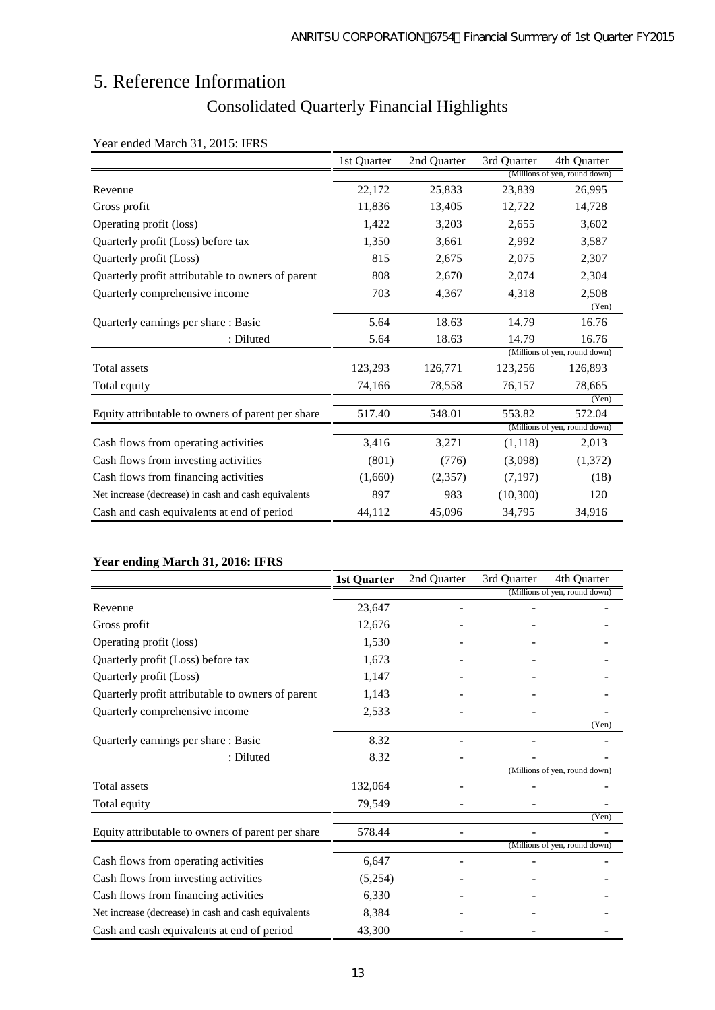# 5. Reference Information

# Consolidated Quarterly Financial Highlights

|                                                      | 1st Quarter | 2nd Quarter | 3rd Quarter | 4th Quarter                   |
|------------------------------------------------------|-------------|-------------|-------------|-------------------------------|
|                                                      |             |             |             | (Millions of yen, round down) |
| Revenue                                              | 22,172      | 25,833      | 23,839      | 26,995                        |
| Gross profit                                         | 11,836      | 13,405      | 12,722      | 14,728                        |
| Operating profit (loss)                              | 1,422       | 3,203       | 2,655       | 3,602                         |
| Quarterly profit (Loss) before tax                   | 1,350       | 3,661       | 2,992       | 3,587                         |
| Quarterly profit (Loss)                              | 815         | 2,675       | 2,075       | 2,307                         |
| Quarterly profit attributable to owners of parent    | 808         | 2,670       | 2,074       | 2,304                         |
| Quarterly comprehensive income                       | 703         | 4,367       | 4,318       | 2,508                         |
|                                                      |             |             |             | (Yen)                         |
| Quarterly earnings per share: Basic                  | 5.64        | 18.63       | 14.79       | 16.76                         |
| : Diluted                                            | 5.64        | 18.63       | 14.79       | 16.76                         |
|                                                      |             |             |             | (Millions of yen, round down) |
| Total assets                                         | 123,293     | 126,771     | 123,256     | 126,893                       |
| Total equity                                         | 74,166      | 78,558      | 76,157      | 78,665                        |
|                                                      |             |             |             | (Yen)                         |
| Equity attributable to owners of parent per share    | 517.40      | 548.01      | 553.82      | 572.04                        |
|                                                      |             |             |             | (Millions of yen, round down) |
| Cash flows from operating activities                 | 3,416       | 3,271       | (1,118)     | 2,013                         |
| Cash flows from investing activities                 | (801)       | (776)       | (3,098)     | (1,372)                       |
| Cash flows from financing activities                 | (1,660)     | (2,357)     | (7,197)     | (18)                          |
| Net increase (decrease) in cash and cash equivalents | 897         | 983         | (10, 300)   | 120                           |
| Cash and cash equivalents at end of period           | 44.112      | 45,096      | 34,795      | 34,916                        |

## Year ended March 31, 2015: IFRS

# **Year ending March 31, 2016: IFRS**

|                                                      | <b>1st Quarter</b> | 2nd Quarter | 3rd Quarter | 4th Quarter                   |
|------------------------------------------------------|--------------------|-------------|-------------|-------------------------------|
|                                                      |                    |             |             | (Millions of yen, round down) |
| Revenue                                              | 23,647             |             |             |                               |
| Gross profit                                         | 12,676             |             |             |                               |
| Operating profit (loss)                              | 1,530              |             |             |                               |
| Quarterly profit (Loss) before tax                   | 1,673              |             |             |                               |
| Quarterly profit (Loss)                              | 1,147              |             |             |                               |
| Quarterly profit attributable to owners of parent    | 1,143              |             |             |                               |
| Quarterly comprehensive income                       | 2,533              |             |             |                               |
|                                                      |                    |             |             | (Yen)                         |
| Quarterly earnings per share: Basic                  | 8.32               |             |             |                               |
| : Diluted                                            | 8.32               |             |             |                               |
|                                                      |                    |             |             | (Millions of yen, round down) |
| <b>Total</b> assets                                  | 132,064            |             |             |                               |
| Total equity                                         | 79,549             |             |             |                               |
|                                                      |                    |             |             | (Yen)                         |
| Equity attributable to owners of parent per share    | 578.44             |             |             |                               |
|                                                      |                    |             |             | (Millions of yen, round down) |
| Cash flows from operating activities                 | 6,647              |             |             |                               |
| Cash flows from investing activities                 | (5,254)            |             |             |                               |
| Cash flows from financing activities                 | 6,330              |             |             |                               |
| Net increase (decrease) in cash and cash equivalents | 8,384              |             |             |                               |
| Cash and cash equivalents at end of period           | 43,300             |             |             |                               |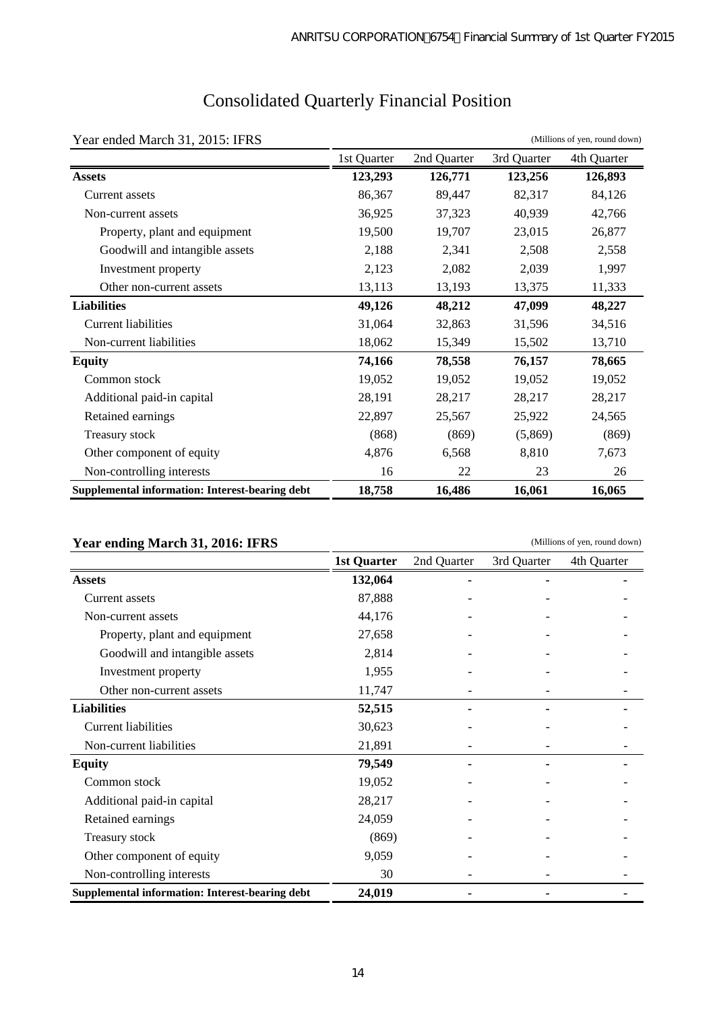| Year ended March 31, 2015: IFRS                 |             |             |             | (Millions of yen, round down) |
|-------------------------------------------------|-------------|-------------|-------------|-------------------------------|
|                                                 | 1st Quarter | 2nd Quarter | 3rd Quarter | 4th Quarter                   |
| <b>Assets</b>                                   | 123,293     | 126,771     | 123,256     | 126,893                       |
| Current assets                                  | 86,367      | 89,447      | 82,317      | 84,126                        |
| Non-current assets                              | 36,925      | 37,323      | 40,939      | 42,766                        |
| Property, plant and equipment                   | 19,500      | 19,707      | 23,015      | 26,877                        |
| Goodwill and intangible assets                  | 2,188       | 2,341       | 2,508       | 2,558                         |
| Investment property                             | 2,123       | 2,082       | 2,039       | 1,997                         |
| Other non-current assets                        | 13,113      | 13,193      | 13,375      | 11,333                        |
| <b>Liabilities</b>                              | 49,126      | 48,212      | 47,099      | 48,227                        |
| <b>Current liabilities</b>                      | 31,064      | 32,863      | 31,596      | 34,516                        |
| Non-current liabilities                         | 18,062      | 15,349      | 15,502      | 13,710                        |
| <b>Equity</b>                                   | 74,166      | 78,558      | 76,157      | 78,665                        |
| Common stock                                    | 19,052      | 19,052      | 19,052      | 19,052                        |
| Additional paid-in capital                      | 28,191      | 28,217      | 28,217      | 28,217                        |
| Retained earnings                               | 22,897      | 25,567      | 25,922      | 24,565                        |
| Treasury stock                                  | (868)       | (869)       | (5,869)     | (869)                         |
| Other component of equity                       | 4,876       | 6,568       | 8,810       | 7,673                         |
| Non-controlling interests                       | 16          | 22          | 23          | 26                            |
| Supplemental information: Interest-bearing debt | 18,758      | 16,486      | 16,061      | 16,065                        |

# Consolidated Quarterly Financial Position

## **Year ending March 31, 2016: IFRS**

1st Quarter 2nd Quarter 3rd Quarter 4th Quarter **Assets 132,064 - - -**  Current assets 87,888 Non-current assets 44,176 Property, plant and equipment 27,658 Goodwill and intangible assets 2,814 Investment property 1,955 Other non-current assets 11,747 **Liabilities 52,515 - - -**  Current liabilities 30,623 Non-current liabilities 21,891 **Equity 79,549 - - -**  Common stock 19,052 -Additional paid-in capital 28,217 Retained earnings 24,059 Treasury stock (869) Other component of equity 9,059 Non-controlling interests 30 -  $\sim$ **Supplemental information: Interest-bearing debt 24,019 - - -**  (Millions of yen, round down)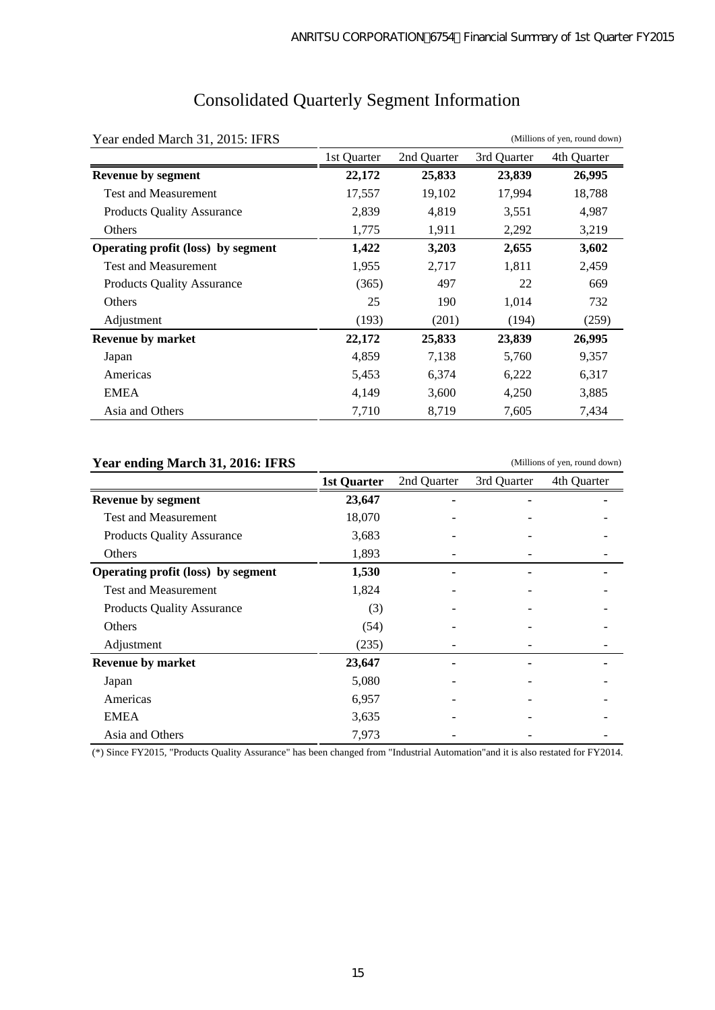| Year ended March 31, 2015: IFRS    |             |             |             | (Millions of yen, round down) |
|------------------------------------|-------------|-------------|-------------|-------------------------------|
|                                    | 1st Quarter | 2nd Quarter | 3rd Quarter | 4th Quarter                   |
| <b>Revenue by segment</b>          | 22,172      | 25,833      | 23,839      | 26,995                        |
| <b>Test and Measurement</b>        | 17,557      | 19,102      | 17,994      | 18,788                        |
| <b>Products Quality Assurance</b>  | 2,839       | 4,819       | 3,551       | 4,987                         |
| Others                             | 1,775       | 1,911       | 2,292       | 3,219                         |
| Operating profit (loss) by segment | 1,422       | 3,203       | 2,655       | 3,602                         |
| <b>Test and Measurement</b>        | 1,955       | 2,717       | 1,811       | 2,459                         |
| <b>Products Quality Assurance</b>  | (365)       | 497         | 22          | 669                           |
| Others                             | 25          | 190         | 1,014       | 732                           |
| Adjustment                         | (193)       | (201)       | (194)       | (259)                         |
| Revenue by market                  | 22,172      | 25,833      | 23,839      | 26,995                        |
| Japan                              | 4,859       | 7,138       | 5,760       | 9,357                         |
| Americas                           | 5,453       | 6,374       | 6,222       | 6,317                         |
| <b>EMEA</b>                        | 4,149       | 3,600       | 4,250       | 3,885                         |
| Asia and Others                    | 7,710       | 8,719       | 7,605       | 7,434                         |

# Consolidated Quarterly Segment Information

# **Year ending March 31, 2016: IFRS**

1st Quarter 2nd Quarter 3rd Quarter 4th Quarter **Revenue by segment** 23,647 - **-**  $\blacksquare$ Test and Measurement 18,070 -Products Quality Assurance 3,683 Others 1,893 - - - **Operating profit (loss) by segment 1,530** - **-**Test and Measurement 1,824 Products Quality Assurance (3) Others  $(54)$  -  $-$  -  $-$ Adjustment (235) - - - **Revenue by market 23,647 - - -**   $\mu$  Japan  $\mu$   $\sim$  5,080 -  $\mu$  -Americas 6,957 - - -  $EMEA$  3,635 - - - - - - -Asia and Others 7,973 (Millions of yen, round down)

(\*) Since FY2015, "Products Quality Assurance" has been changed from "Industrial Automation"and it is also restated for FY2014.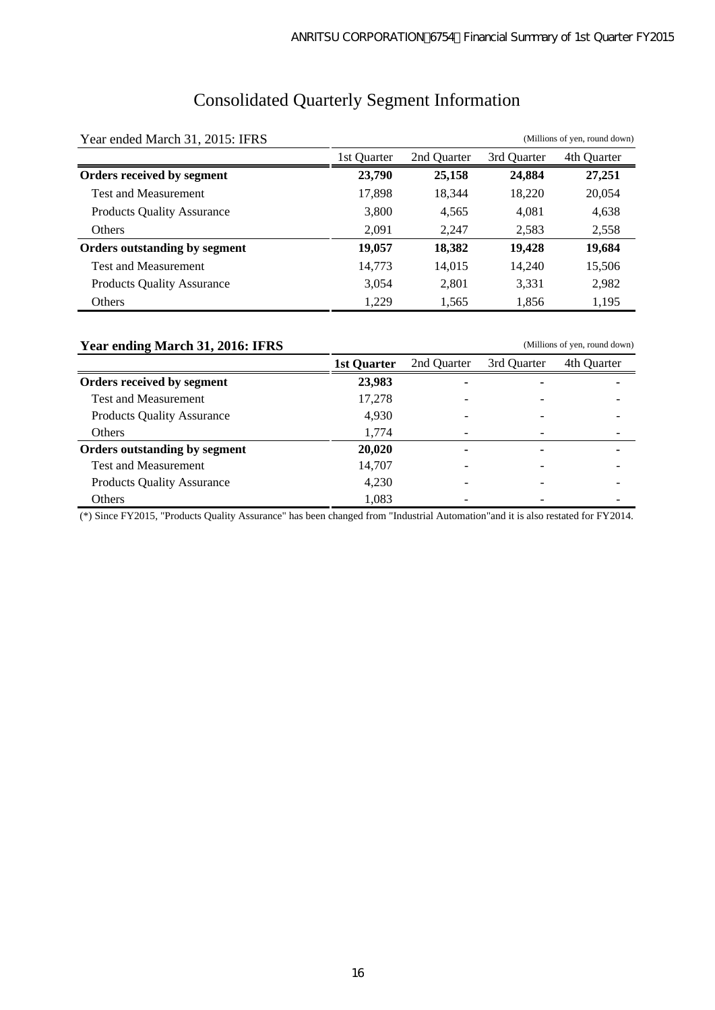# Consolidated Quarterly Segment Information

| Year ended March 31, 2015: IFRS   |             |             | (Millions of yen, round down) |             |  |
|-----------------------------------|-------------|-------------|-------------------------------|-------------|--|
|                                   | 1st Ouarter | 2nd Quarter | 3rd Quarter                   | 4th Quarter |  |
| Orders received by segment        | 23,790      | 25,158      | 24,884                        | 27,251      |  |
| <b>Test and Measurement</b>       | 17,898      | 18,344      | 18,220                        | 20,054      |  |
| <b>Products Quality Assurance</b> | 3,800       | 4,565       | 4,081                         | 4,638       |  |
| <b>Others</b>                     | 2,091       | 2,247       | 2,583                         | 2,558       |  |
| Orders outstanding by segment     | 19,057      | 18,382      | 19,428                        | 19,684      |  |
| <b>Test and Measurement</b>       | 14,773      | 14,015      | 14,240                        | 15,506      |  |
| <b>Products Quality Assurance</b> | 3,054       | 2,801       | 3,331                         | 2,982       |  |
| Others                            | 1,229       | 1,565       | 1,856                         | 1,195       |  |

# **Year ending March 31, 2016: IFRS**

(Millions of yen, round down)

|                                   | 1st Ouarter | 2nd Ouarter | 3rd Ouarter | 4th Quarter |
|-----------------------------------|-------------|-------------|-------------|-------------|
| Orders received by segment        | 23,983      |             |             |             |
| <b>Test and Measurement</b>       | 17.278      |             |             |             |
| <b>Products Quality Assurance</b> | 4,930       |             |             |             |
| Others                            | 1,774       |             |             |             |
| Orders outstanding by segment     | 20,020      |             |             |             |
| <b>Test and Measurement</b>       | 14,707      |             |             |             |
| <b>Products Quality Assurance</b> | 4,230       |             |             |             |
| Others                            | 1,083       |             |             |             |

(\*) Since FY2015, "Products Quality Assurance" has been changed from "Industrial Automation"and it is also restated for FY2014.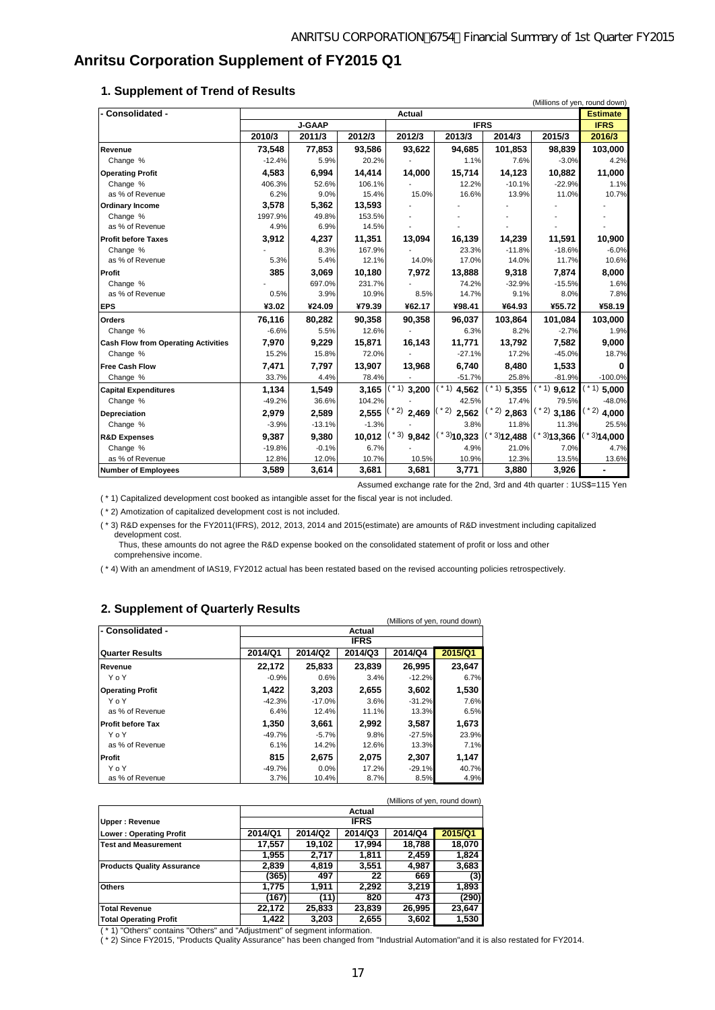# **Anritsu Corporation Supplement of FY2015 Q1**

#### **1. Supplement of Trend of Results**

| - Consolidated -                           | <b>Actual</b> |               |         |                  |                        |              |                | <b>Estimate</b> |
|--------------------------------------------|---------------|---------------|---------|------------------|------------------------|--------------|----------------|-----------------|
|                                            |               | <b>J-GAAP</b> |         | <b>IFRS</b>      |                        |              | <b>IFRS</b>    |                 |
|                                            | 2010/3        | 2011/3        | 2012/3  | 2012/3           | 2013/3                 | 2014/3       | 2015/3         | 2016/3          |
| Revenue                                    | 73,548        | 77,853        | 93,586  | 93,622           | 94,685                 | 101,853      | 98,839         | 103,000         |
| Change %                                   | $-12.4%$      | 5.9%          | 20.2%   |                  | 1.1%                   | 7.6%         | $-3.0%$        | 4.2%            |
| <b>Operating Profit</b>                    | 4.583         | 6,994         | 14,414  | 14,000           | 15,714                 | 14,123       | 10,882         | 11,000          |
| Change %                                   | 406.3%        | 52.6%         | 106.1%  |                  | 12.2%                  | $-10.1%$     | $-22.9%$       | 1.1%            |
| as % of Revenue                            | 6.2%          | 9.0%          | 15.4%   | 15.0%            | 16.6%                  | 13.9%        | 11.0%          | 10.7%           |
| <b>Ordinary Income</b>                     | 3,578         | 5,362         | 13,593  |                  |                        |              |                |                 |
| Change %                                   | 1997.9%       | 49.8%         | 153.5%  |                  |                        |              |                |                 |
| as % of Revenue                            | 4.9%          | 6.9%          | 14.5%   |                  |                        |              |                |                 |
| <b>Profit before Taxes</b>                 | 3,912         | 4,237         | 11,351  | 13,094           | 16,139                 | 14,239       | 11,591         | 10,900          |
| Change %                                   |               | 8.3%          | 167.9%  |                  | 23.3%                  | $-11.8%$     | $-18.6%$       | $-6.0%$         |
| as % of Revenue                            | 5.3%          | 5.4%          | 12.1%   | 14.0%            | 17.0%                  | 14.0%        | 11.7%          | 10.6%           |
| Profit                                     | 385           | 3,069         | 10,180  | 7,972            | 13,888                 | 9,318        | 7,874          | 8,000           |
| Change %                                   |               | 697.0%        | 231.7%  |                  | 74.2%                  | $-32.9%$     | $-15.5%$       | 1.6%            |
| as % of Revenue                            | 0.5%          | 3.9%          | 10.9%   | 8.5%             | 14.7%                  | 9.1%         | 8.0%           | 7.8%            |
| <b>EPS</b>                                 | ¥3.02         | ¥24.09        | ¥79.39  | ¥62.17           | ¥98.41                 | ¥64.93       | ¥55.72         | ¥58.19          |
| <b>Orders</b>                              | 76,116        | 80,282        | 90,358  | 90,358           | 96,037                 | 103,864      | 101,084        | 103,000         |
| Change %                                   | $-6.6%$       | 5.5%          | 12.6%   |                  | 6.3%                   | 8.2%         | $-2.7%$        | 1.9%            |
| <b>Cash Flow from Operating Activities</b> | 7,970         | 9,229         | 15,871  | 16,143           | 11,771                 | 13,792       | 7,582          | 9,000           |
| Change %                                   | 15.2%         | 15.8%         | 72.0%   |                  | $-27.1%$               | 17.2%        | $-45.0%$       | 18.7%           |
| <b>Free Cash Flow</b>                      | 7,471         | 7,797         | 13,907  | 13,968           | 6,740                  | 8,480        | 1,533          | 0               |
| Change %                                   | 33.7%         | 4.4%          | 78.4%   |                  | $-51.7%$               | 25.8%        | $-81.9%$       | $-100.0%$       |
| <b>Capital Expenditures</b>                | 1,134         | 1,549         | 3,165   | $(* 1)$<br>3,200 | $*1)$<br>4,562         | $(1)$ 5,355  | * 1)<br>9,612  | 1)<br>5,000     |
| Change %                                   | $-49.2%$      | 36.6%         | 104.2%  |                  | 42.5%                  | 17.4%        | 79.5%          | $-48.0%$        |
| Depreciation                               | 2,979         | 2,589         | 2,555   | * 2)<br>2,469    | * 2)<br>2,562          | $(*2)$ 2,863 | $(1, 2)$ 3,186 | $*$ 2) 4,000    |
| Change %                                   | $-3.9%$       | $-13.1%$      | $-1.3%$ |                  | 3.8%                   | 11.8%        | 11.3%          | 25.5%           |
| <b>R&amp;D Expenses</b>                    | 9,387         | 9.380         | 10,012  | $(*3)$<br>9,842  | $*3$ <sub>10,323</sub> | $*3$ 12,488  | $*3$ 13,366    | 3)14,000        |
| Change %                                   | $-19.8%$      | $-0.1%$       | 6.7%    |                  | 4.9%                   | 21.0%        | 7.0%           | 4.7%            |
| as % of Revenue                            | 12.8%         | 12.0%         | 10.7%   | 10.5%            | 10.9%                  | 12.3%        | 13.5%          | 13.6%           |
| <b>Number of Employees</b>                 | 3,589         | 3,614         | 3,681   | 3,681            | 3,771                  | 3,880        | 3,926          |                 |

Assumed exchange rate for the 2nd, 3rd and 4th quarter : 1US\$=115 Yen

( \* 1) Capitalized development cost booked as intangible asset for the fiscal year is not included.

( \* 2) Amotization of capitalized development cost is not included.

( \* 3) R&D expenses for the FY2011(IFRS), 2012, 2013, 2014 and 2015(estimate) are amounts of R&D investment including capitalized development cost.

 $\lambda$  and  $\lambda$  yen, round down  $\lambda$  yen, round down

 Thus, these amounts do not agree the R&D expense booked on the consolidated statement of profit or loss and other comprehensive income.

( \* 4) With an amendment of IAS19, FY2012 actual has been restated based on the revised accounting policies retrospectively.

#### **2. Supplement of Quarterly Results**

| (MIIIIONS OF VEN, rOUNG GOWN) |          |                                          |             |          |        |  |  |  |  |
|-------------------------------|----------|------------------------------------------|-------------|----------|--------|--|--|--|--|
| l- Consolidated -             |          |                                          | Actual      |          |        |  |  |  |  |
|                               |          |                                          | <b>IFRS</b> |          |        |  |  |  |  |
| Quarter Results               | 2014/Q1  | 2014/Q4<br>2014/Q2<br>2014/Q3<br>2015/Q1 |             |          |        |  |  |  |  |
| Revenue                       | 22,172   | 25,833                                   | 23,839      | 26,995   | 23,647 |  |  |  |  |
| YoY                           | $-0.9%$  | 0.6%                                     | 3.4%        | $-12.2%$ | 6.7%   |  |  |  |  |
| <b>Operating Profit</b>       | 1,422    | 3,203                                    | 2,655       | 3,602    | 1,530  |  |  |  |  |
| YoY                           | $-42.3%$ | $-17.0%$                                 | 3.6%        | $-31.2%$ | 7.6%   |  |  |  |  |
| as % of Revenue               | 6.4%     | 12.4%                                    | 11.1%       | 13.3%    | 6.5%   |  |  |  |  |
| <b>Profit before Tax</b>      | 1,350    | 3,661                                    | 2,992       | 3,587    | 1,673  |  |  |  |  |
| YoY                           | $-49.7%$ | $-5.7%$                                  | 9.8%        | $-27.5%$ | 23.9%  |  |  |  |  |
| as % of Revenue               | 6.1%     | 14.2%                                    | 12.6%       | 13.3%    | 7.1%   |  |  |  |  |
| Profit                        | 815      | 2,675                                    | 2,075       | 2,307    | 1,147  |  |  |  |  |
| YoY                           | $-49.7%$ | 0.0%                                     | 17.2%       | $-29.1%$ | 40.7%  |  |  |  |  |
| as % of Revenue               | 3.7%     | 10.4%                                    | 8.7%        | 8.5%     | 4.9%   |  |  |  |  |

|                                   | (Millions of yen, round down)                       |        |        |        |        |  |  |  |
|-----------------------------------|-----------------------------------------------------|--------|--------|--------|--------|--|--|--|
|                                   | Actual                                              |        |        |        |        |  |  |  |
| Upper: Revenue                    | <b>IFRS</b>                                         |        |        |        |        |  |  |  |
| <b>Lower: Operating Profit</b>    | 2014/Q3<br>2015/Q1<br>2014/Q1<br>2014/Q2<br>2014/Q4 |        |        |        |        |  |  |  |
| <b>Test and Measurement</b>       | 17,557                                              | 19.102 | 17.994 | 18,788 | 18,070 |  |  |  |
|                                   | 1,955                                               | 2.717  | 1,811  | 2,459  | 1,824  |  |  |  |
| <b>Products Quality Assurance</b> | 2,839                                               | 4.819  | 3.551  | 4,987  | 3,683  |  |  |  |
|                                   | (365)                                               | 497    | 22     | 669    | (3)    |  |  |  |
| <b>Others</b>                     | 1.775                                               | 1.911  | 2.292  | 3.219  | 1,893  |  |  |  |
|                                   | (167)                                               | (11)   | 820    | 473    | (290)  |  |  |  |
| <b>Total Revenue</b>              | 22.172                                              | 25,833 | 23,839 | 26,995 | 23,647 |  |  |  |
| <b>Total Operating Profit</b>     | 1,422                                               | 3,203  | 2,655  | 3,602  | 1,530  |  |  |  |

( \* 1) "Others" contains "Others" and "Adjustment" of segment information.

( \* 2) Since FY2015, "Products Quality Assurance" has been changed from "Industrial Automation"and it is also restated for FY2014.